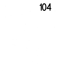##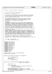$\sqrt{*}$  $\overline{2}$  \* 3780i.c −− helper routines for the 3780i DSP <sup>4</sup>  $\frac{5}{6}$ Written By: Mike Sullivan IBM Corporation  $\begin{matrix}7 & *\\ * & * \end{matrix}$  \* Copyright (C) 1999 IBM Corporation <sup>9</sup> \* \* This program is free software; you can redistribute it and/or modify <sup>11</sup> \* it under the terms of the GNU General Public License as published by 12 \* the Free Software Foundation; either version 2 of the License, or<br>13 \* (at your option) any later version. \* (at your option) any later version. <br> $15$  \* This program is distributed in the hope that it will be useful, <sup>16</sup> \* but WITHOUT ANY WARRANTY; without even the implied warranty of <sup>17</sup> \* MERCHANTABILITY or FITNESS FOR A PARTICULAR PURPOSE. See the \* GNU General Public License for more details. <sub>19</sub> 20 \* NO WARRANTY<br>21 \* THE PROGRAM \* THE PROGRAM IS PROVIDED ON AN "AS IS" BASIS, WITHOUT WARRANTIES OR \* CONDITIONS OF ANY KIND, EITHER EXPRESS OR IMPLIED INCLUDING, WITHOUT <sup>23</sup> \* LIMITATION, ANY WARRANTIES OR CONDITIONS OF TITLE, NON−INFRINGEMENT, <sup>24</sup> \* MERCHANTABILITY OR FITNESS FOR A PARTICULAR PURPOSE. Each Recipient is<br><sup>25 \*</sup> solely responsible for determining the appropriateness of using and \* solely responsible for determining the appropriateness of using and \* distributing the Program and assumes all risks associated with its <sup>27</sup> \* exercise of rights under this Agreement, including but not limited to <sup>28</sup> \* the risks and costs of program errors, damage to or loss of data, \* programs or equipment, and unavailability or interruption of operations. 31 \* DISCLAIMER OF LIABILITY<br>32 \* NEITHER RECIPIENT NOR A \* NEITHER RECIPIENT NOR ANY CONTRIBUTORS SHALL HAVE ANY LIABILITY FOR ANY \* DIRECT, INDIRECT, INCIDENTAL, SPECIAL, EXEMPLARY, OR CONSEQUENTIAL <sup>34</sup> \* DAMAGES (INCLUDING WITHOUT LIMITATION LOST PROFITS), HOWEVER CAUSED AND \* ON ANY THEORY OF LIABILITY, WHETHER IN CONTRACT, STRICT LIABILITY, OR <sup>36</sup> \* TORT (INCLUDING NEGLIGENCE OR OTHERWISE) ARISING IN ANY WAY OUT OF THE \* USE OR DISTRIBUTION OF THE PROGRAM OR THE EXERCISE OF ANY RIGHTS GRANTED \* HEREUNDER, EVEN IF ADVISED OF THE POSSIBILITY OF SUCH DAMAGES <br> $40$ \* You should have received a copy of the GNU General Public License \* along with this program; if not, write to the Free Software <sup>42</sup> \* Foundation, Inc., 59 Temple Place, Suite 330, Boston, MA 02111−1307 USA \*  $\frac{44}{45}$  \* 10/23/2000 − Alpha Release <sup>46</sup> \* First release to the public \* / <br> $49$  **#include** <linux/version.h> <sup>50</sup> **#include** <linux/config.h> **#include** <linux/kernel.h> **#include** <linux/unistd.h> #include <linux/delay.h> **#include** <linux/ioport.h> **#include** <linux/init.h> **#include** <asm/io.h> #include <asm/uaccess.h> **#include** <asm/system.h> #include <asm/irq.h> <sup>60</sup> **#include** <asm/bitops.h> **#include** "smapi.h" <sup>62</sup> **#include** "mwavedd.h" **#include** "3780i.h" **static** spinlock\_t dsp\_lock = SPIN\_LOCK\_UNLOCKED; <sup>66</sup> **static** unsigned long flags; **static** void PaceMsaAccess(unsigned short usDspBaseIO) { 71 **if**(current–>need\_resched)<br>72 schedule(); schedule();<br> $73$  udelay(100); 73 udelay(100);<br>
74 **if**(current->) **if**(current−>need\_resched) schedule(); } unsigned short dsp3780I\_ReadMsaCfg(unsigned short usDspBaseIO, <sup>79</sup> unsigned long ulMsaAddr)  $\begin{matrix} 80 \\ 81 \end{matrix} \quad \begin{matrix} \end{matrix}$ unsigned short val; PRINTK\_3(TRACE\_3780I, <sup>84</sup> "3780i::dsp3780I\_ReadMsaCfg entry usDspBaseIO %x ulMsaAddr %lx\n", 85 usDspBaseIO, ulMsaAddr); 87 spin\_lock\_irqsave(&dsp\_lock, flags);<br>88 0utWordDsp(DSP\_MsaAddrLow, (unsigned 88 OutWordDsp(DSP\_MsaAddrLow, (unsigned short) ulMsaAddr);<br>89 OutWordDsp(DSP\_MsaAddrHigh, (unsigned short) (ulMsaAddr OutWordDsp(DSP\_MsaAddrHigh, (unsigned short) (ulMsaAddr >> 16)); val = InWordDsp(DSP\_MsaDataDSISHigh); Registered Version: Linux Kernel Support for Mwave Modem **3780i.c** Exhibit 20.1−1 pg 1/9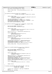```
91 spin_unlock_irqrestore(&dsp_lock, flags);
92
93 PRINTK_2(TRACE_3780I, "3780i::dsp3780I_ReadMsaCfg exit val %x\n", val);
94
95 return val;<br>96 }
   \left| \right|97
98 void dsp3780I_WriteMsaCfg(unsigned short usDspBaseIO,
    eration of the state of the unsigned long ulMsaAddr, unsigned short usValue)
100 {
101
102 PRINTK_4(TRACE_3780I,
103 "3780i::dsp3780i_WriteMsaCfg entry usDspBaseIO %x ulMsaAddr %lx usValue %x\n",
104 usDspBaseIO, ulMsaAddr, usValue);
105
106 spin_lock_irqsave(&dsp_lock, flags);
107 OutWordDsp(DSP_MsaAddrLow, (unsigned short) ulMsaAddr);
108 OutWordDsp(DSP_MsaAddrHigh, (unsigned short) (ulMsaAddr >> 16));
109 OutWordDsp(DSP_MsaDataDSISHigh, usValue);
110 spin_unlock_irqrestore(&dsp_lock, flags);
   111 }
112
113 void dsp3780I_WriteGenCfg(unsigned short usDspBaseIO, unsigned uIndex,
    1<sup>1</sup> unsigned char ucValue)
115 {
116 DSP_ISA_SLAVE_CONTROL rSlaveControl;
117 DSP_ISA_SLAVE_CONTROL rSlaveControl_Save;
118
119
120 PRINTK_4(TRACE_3780I,
121 "3780i::dsp3780i_WriteGenCfg entry usDspBaseIO %x uIndex %x ucValue %x\n",
                        usDspBaseIO, uIndex, ucValue);
123<br>124MKBYTE(rSlaveControl) = InByteDsp(DSP_IsaSlaveControl);
125
126 PRINTK_2(TRACE_3780I,
127 The control of the state of the state of the state of the state of the state of the MKBYTE (rSlaveControl);<br>128 MKBYTE (rSlaveControl));
                       MKBYTE(rSlaveControl));
129
130 rSlaveControl_Save = rSlaveControl;
131 rSlaveControl.ConfigMode = TRUE;
132
133 PRINTK_2(TRACE_3780I,
134 "3780i::dsp3780i_WriteGenCfg entry rSlaveControl+ConfigMode %x\n",
135 MKBYTE(rSlaveControl));
136
137 OutByteDsp(DSP_IsaSlaveControl, MKBYTE(rSlaveControl));<br>138 OutByteDsp(DSP_ConfigAddress, (unsigned char) uIndex);
138 OutByteDsp(DSP_ConfigAddress, (unsigned char) uIndex);
139 OutByteDsp(DSP_ConfigData, ucValue);
140 OutByteDsp(DSP_IsaSlaveControl, MKBYTE(rSlaveControl_Save));
141
142 PRINTK_1(TRACE_3780I, "3780i::dsp3780i_WriteGenCfg exit\n");
143
144
145 }
146
147 unsigned char dsp3780I_ReadGenCfg(unsigned short usDspBaseIO,
148 unsigned uIndex)
149 {
150 DSP_ISA_SLAVE_CONTROL rSlaveControl;
151 DSP_ISA_SLAVE_CONTROL rSlaveControl_Save;
\overline{\text{unsigened}} char ucValue;
153
154
155 PRINTK_3(TRACE_3780I,
156 "3780i::dsp3780i_ReadGenCfg entry usDspBaseIO %x uIndex %x\n",
157 usDspBaseIO, uIndex);
158
159 MKBYTE(rSlaveControl) = InByteDsp(DSP_IsaSlaveControl);
160 rSlaveControl_Save = rSlaveControl;
161 rSlaveControl.ConfigMode = TRUE;
162 OutByteDsp(DSP_IsaSlaveControl, MKBYTE(rSlaveControl));
163 OutByteDsp(DSP_ConfigAddress, (unsigned char) uIndex);
164 ucValue = InByteDsp(DSP_ConfigData);
165 OutByteDsp(DSP_IsaSlaveControl, MKBYTE(rSlaveControl_Save));
166
167 PRINTK_2(TRACE_3780I<sub>168</sub> PRINTK_2(TRACE_3780I)<sub>168</sub>
                        "3780i::dsp3780i_ReadGenCfg exit ucValue %x\n", ucValue);
169
170
171 return ucValue;
172 }
173
174 int dsp3780I_EnableDSP(DSP_3780I_CONFIG_SETTINGS * pSettings,
175 unsigned short *pIrqMap,
176 unsigned short *pDmaMap)
\begin{matrix} 177 & \{ \\ 178 & \end{matrix}178 unsigned short usDspBaseIO = pSettings−>usDspBaseIO;
              int i;
180 DSP_UART_CFG_1 rUartCfq1;
Registered Version: Linux Kernel Support for Mwave Modem 3780i.c Exhibit 20.1−1 pg 2/9
```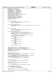```
181 DSP_UART_CFG_2 rUartCfg2;
182 DSP_HBRIDGE_CFG_1 rHBridgeCfg1;
183 DSP_HBRIDGE_CFG_2 rHBridgeCfg2;
184 DSP_BUSMASTER_CFG_1 rBusmasterCfg1;
185 DSP_BUSMASTER_CFG_2 rBusmasterCfg2;
186 DSP_ISA_PROT_CFG rIsaProtCfg;
187 DSP_POWER_MGMT_CFG rPowerMgmtCfg;
188 DSP_HBUS_TIMER_CFG rHBusTimerCfg;
189 DSP_LBUS_TIMEOUT_DISABLE rLBusTimeoutDisable;<br>190 DSP_CHIP_RESET_rChipReset;
190 DSP_CHIP_RESET rChipReset;<br>191 DSP_CLOCK_CONTROL_1_rClock
191 DSP_CLOCK_CONTROL_1 rClockControl1;
192 DSP_CLOCK_CONTROL_2 rClockControl2;
193 DSP_ISA_SLAVE_CONTROL rSlaveControl;<br>194 DSP_HBRIDGE CONTROL rHBridgeControl;
194 DSP_HBRIDGE_CONTROL rHBridgeControl;<br>195 mnsigned short ChipID = 0;
            unsigned short ChipID = 0;196 unsigned short tval;
197
198
199 PRINTK_2(TRACE_3780I<sub>200</sub><br>200
<sup>200</sup> <sup>200</sup> 3780i::dsp3780I_EnableDSP entry pSettings->bDSPEnabled %x\n",<br>201 bSettings->bDSPEnabled \;
                     pSettings->bDSPEnabled);
202
203
204 if (!pSettings−>bDSPEnabled) {
                     PRINTK_ERROR( KERN_ERR "3780i::dsp3780I_EnableDSP: Error: DSP not enabled. Aborting.\n" );
206 return −EIO;<br>207 }
207 }
208
209
210 PRINTK_2(TRACE_3780I,
211 "3780i::dsp3780i_EnableDSP entry pSettings−>bModemEnabled %x\n",
                     pSettings->bModemEnabled);
213<br>214214 if (pSettings−>bModemEnabled) {
215 rUartCfg1.Reserved = rUartCfg2.Reserved = 0;
216 rUartCfg1.IrqActiveLow = pSettings−>bUartIrqActiveLow;
217 rUartCfg1.IrqPulse = pSettings−>bUartIrqPulse;
218 rUartCfg1.Irq =<br>219 rUartCfg1.Irq =
219 (unsigned char) pIrqMap[pSettings−>usUartIrq];<br>220 switch (pSettings−>usUartBaseIO) {
                     220 switch (pSettings−>usUartBaseIO) {
221 case 0x03F8:
                              rUartCfg1.BaseI0 = 0;223 break;
224 case 0x02F8:
                              rUartCfg1.BaseIO = 1;
226 break;<br>227 case 0x03E8:
227 case 0x03E8:
228<br>228<br>break;<br>break;
<sup>229</sup> break;<br><sup>230</sup> case 0x02E8:
                     230 case 0x02E8:
231 rUartCfg1.BaseIO = 3;
232 break;
233 \Big\}234<br>
235<br>
235<br>
235\}236
237 rHBridgeCfg1.Reserved = rHBridgeCfg2.Reserved = 0;
238 rHBridgeCfg1.IrqActiveLow = pSettings−>bDspIrqActiveLow;
239 rHBridgeCfg1.IrqPulse = pSettings−>bDspIrqPulse;
240 rHBridgeCfg1.Irq = (unsigned char) pIrqMap[pSettings−>usDspIrq];
241 rHBridgeCfg1.AccessMode = 1;
242 rHBridgeCfg2.Enable = TRUE;
243
244245 rBusmasterCfg2.Reserved = 0;
246 rBusmasterCfg1.Dma = (unsigned char) pDmaMap[pSettings−>usDspDma];
247 rBusmasterCfg1.NumTransfers =<br>248 (unsigned char) pSett
248 (unsigned char) pSettings−>usNumTransfers;
249 rBusmasterCfg1.ReRequest = (unsigned char) pSettings−>usReRequest;
            250 rBusmasterCfg1.MEMCS16 = pSettings−>bEnableMEMCS16;
251 rBusmasterCfg2.IsaMemCmdWidth =<br>252 (unsigned char) pSettin
                      (unsigned char) pSettings->usIsaMemCmdWidth;
253
254
255 rIsaProtCfg.Reserved = 0;
256 rIsaProtCfg.GateIOCHRDY = pSettings−>bGateIOCHRDY;
257
258 rPowerMgmtCfg.Reserved = 0;<br>259 rPowerMgmtCfg.Enable = pSet
            259 rPowerMgmtCfg.Enable = pSettings−>bEnablePwrMgmt;
260<sup>261</sup> rHBusTimerCfg.LoadValue =
262 (unsigned char) pSettings−>usHBusTimerLoadValue;
263
264 rLBusTimeoutDisable.Reserved = 0;<br>265 rLBusTimeoutDisable.DisableTimeou
            rLBusTimeoutDisable. DisableTimeout =266 pSettings−>bDisableLBusTimeout;
267
268 MKWORD(rChipReset) = ~pSettings−>usChipletEnable;
269
270 rClockControl1.Reserved1 = rClockControl1.Reserved2 = 0;
Registered Version: Linux Kernel Support for Mwave Modem 3780i.c Exhibit 20.1−1 pg 3/9
```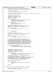```
271 rClockControl1.N_Divisor = pSettings−>usN_Divisor;
272 rClockControl1.M_Multiplier = pSettings−>usM_Multiplier;
273
274 rClockControl2.Reserved = 0;<br>275 rClockControl2.PllBypass = p
                275 rClockControl2.PllBypass = pSettings−>bPllBypass;
276
277 /* Issue a soft reset to the chip */
278 /* Note: Since we may be coming in with 3780i clocks suspended, we must keep
279 * soft-reset active for 10ms.<br>280 */
280 */<br>281 \sqrt{281} \sqrt{281}281 rSlaveControl.ClockControl = 0;
282 rSlaveControl.SoftReset = TRUE;
283 rSlaveControl.ConfigMode = FALSE;
284 rSlaveControl.Reserved = 0;
205286 PRINTK_4(TRACE_3780I,
287 "3780i::dsp3780i_EnableDSP usDspBaseIO %x index %x taddr %x\n",
288 usDspBaseIO, DSP_IsaSlaveControl,
289 usDspBaseIO + DSP_IsaSlaveControl);
290
291 PRINTK_2(TRACE_3780I,
<sup>292</sup> "3780i::dsp3780i_EnableDSP rSlaveContrl %x\n",<br>
293<br>
MKWORD(rSlaveControl));
                            MKWORD(rSlaveControl));
294
295 spin_lock_irqsave(&dsp_lock, flags);
296 OutWordDsp(DSP_IsaSlaveControl, MKWORD(rSlaveControl));
297 MKWORD(tval) = InWordDsp(DSP_IsaSlaveControl);
298
299 PRINTK_2(TRACE_3780I,
300 "3780i::dsp3780i_EnableDSP rSlaveControl 2 %x\n", tval);
301
302
303 for (i = 0; i < 11; i++)<br>304 for (i = 0; i < 11; i++)udelay(2000);305
306 rSlaveControl.SoftReset = FALSE;
307 OutWordDsp(DSP_IsaSlaveControl, MKWORD(rSlaveControl));
308
                MKWORD(tval) = InWordDsp(DSP_IsaSlaveControl);
310
311 PRINTK_2(TRACE_3780I,<br>312 93780i:.dsp3780i
                             312 "3780i::dsp3780i_EnableDSP rSlaveControl 3 %x\n", tval);
313
314
315 /* Program our general configuration registers */
316 WriteGenCfg(DSP_HBridgeCfg1Index, MKBYTE(rHBridgeCfg1));
317 WriteGenCfg(DSP_HBridgeCfg2Index, MKBYTE(rHBridgeCfg2));
318 WriteGenCfg(DSP_BusMasterCfg1Index, MKBYTE(rBusmasterCfg1));
319 WriteGenCfg(DSP_BusMasterCfg2Index, MKBYTE(rBusmasterCfg2));
320 WriteGenCfg(DSP_IsaProtCfgIndex, MKBYTE(rIsaProtCfg));
321 WriteGenCfg(DSP_PowerMgCfgIndex, MKBYTE(rPowerMgmtCfg));
322 WriteGenCfg(DSP_HBusTimerCfgIndex, MKBYTE(rHBusTimerCfg));
323
324 if (pSettings−>bModemEnabled)<br>WriteGenCfg(DSP_HartC
325 WriteGenCfg(DSP_UartCfg1Index, MKBYTE(rUartCfg1));
326 WriteGenCfg(DSP_UartCfg2Index, MKBYTE(rUartCfg2));
327 }
328
329
330 rHBridgeControl.EnableDspInt = FALSE;
331 rHBridgeControl.MemAutoInc = TRUE;
332 rHBridgeControl.IoAutoInc = FALSE;
333 rHBridgeControl.DiagnosticMode = FALSE;
334
335 PRINTK_3(TRACE_3780I,
336 "3780i::dsp3780i_EnableDSP DSP_HBridgeControl %x rHBridgeControl %x\n",
337 DSP_HBridgeControl, MKWORD(rHBridgeControl));
338
339 OutWordDsp(DSP_HBridgeControl, MKWORD(rHBridgeControl));<br>340 Spin unlock irgrestore(&dsp lock, flags);
340 spin_unlock_irqrestore(&dsp_lock, flags);
341 WriteMsaCfg(DSP_LBusTimeoutDisable, MKWORD(rLBusTimeoutDisable));
342 WriteMsaCfg(DSP_ClockControl_1, MKWORD(rClockControl1));
343 WriteMsaCfg(DSP_ClockControl_2, MKWORD(rClockControl2));
344 WriteMsaCfg(DSP_ChipReset, MKWORD(rChipReset));
345
346 ChipID = ReadMsaCfg(DSP_ChipID);
347
348 PRINTK_2(TRACE_3780I,
349 "3780i::dsp3780I_EnableDSP exiting bRC=TRUE, ChipID %x\n",
350 ChipID);
351
352 return 0;
353 }
354
355 int dsp3780I_DisableDSP(DSP_3780I_CONFIG_SETTINGS * pSettings)
\begin{matrix} 356 \\ 357 \end{matrix}357 unsigned short usDspBaseIO = pSettings−>usDspBaseIO;
                DSP_ISA_SLAVE_CONTROL rSlaveControl;
359
360
Registered Version: Linux Kernel Support for Mwave Modem 3780i.c Exhibit 20.1−1 pg 4/9
```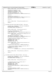```
361 PRINTK_1(TRACE_3780I, "3780i::dsp3780i_DisableDSP entry\n");
362
363 rSlaveControl.ClockControl = 0;<br>364 rSlaveControl.SoftReset = TRUE;
364 rSlaveControl.SoftReset = TRUE;
365 rSlaveControl.ConfigMode = FALSE;<br>366 rSlaveControl.Reserved = 0;
              rSlaveControl.Reserved = 0;367 spin_lock_irqsave(&dsp_lock, flags);
368 OutWordDsp(DSP_IsaSlaveControl, MKWORD(rSlaveControl));
369
370 udelay(5);
371
372 rSlaveControl.ClockControl = 1;<br>373 0utWordDsp(DSP IsaSlaveControl,
373 OutWordDsp(DSP_IsaSlaveControl, MKWORD(rSlaveControl));<br>374 Spin unlock irgrestore(&dsp lock, flags);
              spin_unlock_irqrestore(&dsp_lock, flags);
375
376 \frac{10}{9} \frac{1}{2} \frac{1}{2} \frac{1}{2} \frac{1}{2} \frac{1}{2} \frac{1}{2} \frac{1}{2} \frac{1}{2} \frac{1}{2} \frac{1}{2} \frac{1}{2} \frac{1}{2} \frac{1}{2} \frac{1}{2} \frac{1}{2} \frac{1}{2} \frac{1}{2} \frac{1}{2} \frac{1}{2} \frac{1}{2} \frac{377
378
379 PRINTK_1(TRACE_3780I, "3780i::dsp3780i_DisableDSP exit\n");
380
381 return 0;
382 }
383
384 int dsp3780I_Reset(DSP_3780I_CONFIG_SETTINGS * pSettings)
385 {
386 unsigned short usDspBaseIO = pSettings−>usDspBaseIO;
387 DSP_BOOT_DOMAIN rBootDomain;
388 DSP_HBRIDGE_CONTROL rHBridgeControl;
389
390391 PRINTK_1(TRACE_3780I, "3780i::dsp3780i_Reset entry\n");
392
393 spin_lock_irqsave(&dsp_lock, flags);
394 /* Mask DSP to PC interrupt */
395 MKWORD(rHBridgeControl) = InWordDsp(DSP_HBridgeControl);
396
397 PRINTK_2(TRACE_3780I, "3780i::dsp3780i_Reset rHBridgeControl %x\n",<br>398 MKWORD(rHBridgeControl));
                         MKWORD(rHBridgeControl));
399
400 rHBridgeControl.EnableDspInt = FALSE;
401 OutWordDsp(DSP_HBridgeControl, MKWORD(rHBridgeControl));
402 spin_unlock_irqrestore(&dsp_lock, flags);
403
404 /* Reset the core via the boot domain register */
405 rBootDomain.ResetCore = TRUE;
406 rBootDomain.Halt = TRUE;
207 rBootDomain.NMI = TRUE;<br>408 rBootDomain.Reserved =
              rBootDomain.Reserved = 0;
409
410 PRINTK_2(TRACE_3780I, "3780i::dsp3780i_Reset rBootDomain %x\n",
411 MKWORD(rBootDomain));
412<br>413
              WriteMsaCfg(DSP_MspBootDomain, MKWORD(rBootDomain));
414
415 /* Reset all the chiplets and then reactivate them */
416 WriteMsaCfg(DSP_ChipReset, 0xFFFF);<br>417 udelay(5);
              udelay(5);418 WriteMsaCfg(DSP_ChipReset, 419
                                    (unsigned short) (~pSettings->usChipletEnable));
420
421
422 PRINTK_1(TRACE_3780I, "3780i::dsp3780i_Reset exit bRC=0\n");
423
              424 return 0;
425 }
426
427
428 int dsp3780I_Run(DSP_3780I_CONFIG_SETTINGS * pSettings)
429 \{430unsigned short usDspBaseIO = pSettings->usDspBaseIO;
431 DSP_BOOT_DOMAIN rBootDomain;<br>432 DSP_HBRIDGE_CONTROL rHBridge
              DSP_HBRIDGE_CONTROL rHBridgeControl;
433
434
435 PRINTK_1(TRACE_3780I, "3780i::dsp3780i_Run entry\n");
436
437
438 /* Transition the core to a running state */
              rBootDomain.ResetCore = TRUE;
440 rBootDomain.Halt = FALSE;
441 rBootDomain.NMI = TRUE;
442 rBootDomain.Reserved = 0;<br>443 WriteMsaCfg(DSP_MspBootDo
              WriteMsaCfg(DSP_MspBootDomain, MKWORD(rBootDomain));
444
445 udelay(5);
446
447 rBootDomain.ResetCore = FALSE;<br>448 WriteMsaCfg(DSP_MspBootDomain,
448 WriteMsaCfg(DSP_MspBootDomain, MKWORD(rBootDomain));<br>449       udelay(5);
              udelay(5);
450
Registered Version: Linux Kernel Support for Mwave Modem 3780i.c Exhibit 20.1−1 pg 5/9
```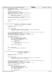```
451 rBootDomain.NMI = FALSE;
452 WriteMsaCfg(DSP_MspBootDomain, MKWORD(rBootDomain));
453 udelay(5);
454
455 /* Enable DSP to PC interrupt */
456 spin_lock_irqsave(&dsp_lock, flags);
457 MKWORD(rHBridgeControl) = InWordDsp(DSP_HBridgeControl);
458 rHBridgeControl.EnableDspInt = TRUE;
459
460 PRINTK_2(TRACE_3780I, "3780i::dsp3780i_Run rHBridgeControl %x\n",<br>
\frac{461}{200} MKWORD(rHBridgeControl));
                          MKWORD(rHBridgeControl));
462<br>463
463 OutWordDsp(DSP_HBridgeControl, MKWORD(rHBridgeControl));<br>464 spin_unlock_irqrestore(&dsp_lock, flags);
               spin_unlock_irqrestore(&dsp_lock, flags);
465466<br>467
               467 PRINTK_1(TRACE_3780I, "3780i::dsp3780i_Run exit bRC=TRUE\n");
468<br>469
469 return 0;
    470 }
471
472
473 int dsp3780I_ReadDStore(unsigned short usDspBaseIO, void *pvBuffer,<br>474 unsigned uCount, unsigned long ulDSPAddr)
    ansigned uCount, unsigned long ulDSPAddr)
475 {
476 unsigned short *pusBuffer = pvBuffer;
477 unsigned short val;
478
479
480 PRINTK 5(TRACE 3780I)
481 THENT THE STATIST TO THE READ STATE TO SALE ASSAUTE TO SALE TO SALE THAT ASSAUTE TO A SALE TO SALE TO SALE<br>482 USDSPBaseIO, pusBuffer, uCount, ulDSPAddr);
                          usDspBaseIO, pusBuffer, uCount, ulDSPAddr);
483
484
485 /* Set the initial MSA address. No adjustments need to be made to data store addresses */
486 spin_lock_irqsave(&dsp_lock, flags);
487 OutWordDsp(DSP_MsaAddrLow, (unsigned short) ulDSPAddr);
488 OutWordDsp(DSP_MsaAddrHigh, (unsigned short) (ulDSPAddr >> 16));
489 spin_unlock_irqrestore(&dsp_lock, flags);
490
491 /* Transfer the memory block */
492 while (uCount−− != 0) {
493 spin_lock_irqsave(&dsp_lock, flags);<br>val = InWordDsp(DSP_MsaDataDSISHigh)
494 val = InWordDsp(DSP_MsaDataDSISHigh);<br>495 spin unlock irgrestore(&dsp lock, fla
                          spin_unlock_irqrestore(&dsp_lock, flags);
496 if(put_user(val, pusBuffer++))
497 return −EFAULT;
498<br>499499 PRINTK_3(TRACE_3780I,<br>500 37801:dsn3780I
500 "3780I::dsp3780I_ReadDStore uCount %x val %x\n",
501 uCount, val);
502
               PaceMsaAccess(usDspBaseIO);
504 }
505
506
507 PRINTK_1(TRACE_3780I,
508 "3780I::dsp3780I_ReadDStore exit bRC=TRUE\n");
509
510 return 0;
511 }
512
513 int dsp3780I_ReadAndClearDStore(unsigned short usDspBaseIO,<br>514 void *pvBuffer, unsigned u
                                               void *pvBuffer, unsigned uCount,
515 unsigned long ulDSPAddr)
516 {
517 unsigned short *pusBuffer = pvBuffer;<br>518 unsigned short val;
               unsigned short val;
519
520
521 PRINTK_5 (TRACE_3780I,<br>522 73780i::dsp3780I_
<sup>522</sup> <sup>3780i::dsp3780I_ReadAndDStore entry usDspBaseIO %x, pusBuffer %p, uCount %x, ulDSPAddr %lx\n",<br><sup>523</sup> usDspBaseIO, pusBuffer, uCount, ulDSPAddr);</sup>
                          usDspBaseIO, pusBuffer, uCount, ulDSPAddr);
524
525
526 /* Set the initial MSA address. No adjustments need to be made to data store addresses */<br>527 spin_lock_irqsave(&dsp_lock, flags);
527 spin_lock_irqsave(&dsp_lock, flags);
528 OutWordDsp(DSP_MsaAddrLow, (unsigned short) ulDSPAddr);
529 OutWordDsp(DSP_MsaAddrHigh, (unsigned short) (ulDSPAddr >> 16));
530 spin_unlock_irqrestore(&dsp_lock, flags);
531
532 /* Transfer the memory block */<br>533 while (uCount-- != 0) {
533 while (uCount−− != 0) {
534 spin_lock_irqsave(&dsp_lock, flags);
535 val = InWordDsp(DSP_ReadAndClear);
536 spin_unlock_irqrestore(&dsp_lock, flags);
537 if(put_user(val, pusBuffer++))
538 return −EFAULT;
539
540 PRINTK_3(TRACE_3780I,
Registered Version: Linux Kernel Support for Mwave Modem 3780i.c Exhibit 20.1−1 pg 6/9
```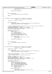```
<sup>541</sup> "3780I::dsp3780I\_ReadAndClearDStore uCount %x val %x\n'n"ucount, va1)\overline{i}543
544 PaceMsaAccess(usDspBaseIO);
545 }
546
547
548 PRINTK_1(TRACE_3780I,<br>549 73780I::dsp3780I
                            "3780I::dsp3780I_ReadAndClearDStore exit bRC=TRUE\n");
550
551 return 0;
552 }
553
554
555 int dsp3780I_WriteDStore(unsigned short usDspBaseIO, void *pvBuffer,
556 unsigned uCount, unsigned long ulDSPAddr)
557 {
                unsigned short *pusBuffer = pyBuffer;559
560
561 PRINTK_5(TRACE_3780I,
562 "3780i::dsp3780D_WriteDStore entry usDspBaseIO %x, pusBuffer %p, uCount %x, ulDSPAddr %lx\n",
563 usDspBaseIO, pusBuffer, uCount, ulDSPAddr);
564
565
566 /* Set the initial MSA address. No adjustments need to be made to data store addresses */
567 spin_lock_irqsave(&dsp_lock, flags);
568 OutWordDsp(DSP_MsaAddrLow, (unsigned short) ulDSPAddr);
569 OutWordDsp(DSP_MsaAddrHigh, (unsigned short) (ulDSPAddr >> 16));<br>570 spin unlock irgrestore(&dsp lock flags);
                570 spin_unlock_irqrestore(&dsp_lock, flags);
571
                /* Transfer the memory block */573 while (uCount−− != 0) {
574 unsigned short val;
575 if(get_user(val, pusBuffer++))
576 return −EFAULT;
577 spin_lock_irqsave(&dsp_lock, flags);<br>578 spin_lock_irqsave(&dsp_lock, flags);
578 OutWordDsp(DSP_MsaDataDSISHigh, val);<br>579 Spin_unlock_irgrestore(&dsp_lock, fla
                           spin_unlock_irqrestore(&dsp_lock, flags);
580
581 PRINTK_3 (TRACE_3780I,<br>
582 13780I::dsp3780I_WriteDStore uCount %x val %x\n",<br>
583 1301 uCount, val);
584
585 PaceMsaAccess(usDspBaseIO);
586 }
587
588<br>589
589 PRINTK_1(TRACE_3780I,
                            "3780I::dsp3780D_WriteDStore exit bRC=TRUE\n");
591
592 return 0;
    \rightarrow594
595
596 int dsp3780I_ReadIStore(unsigned short usDspBaseIO, void *pvBuffer,<br>597 unsigned uCount, unsigned long ulDSPAddr)
    unsigned uCount, unsigned long ulDSPAddr)
598 {
               unsigned short *pusBuffer = pvBuffer;
600
601 PRINTK_5(TRACE_3780I,
<sup>-</sup> 3780i::dsp37801_ReadIStore entry usDspBaseIO %x, pusBuffer %p, uCount %x, ulDSPAddr %lx\n",<br>
usDspBaseIO, pusBuffer, uCount, ulDSPAddr);
                           usDspBaseIO, pusBuffer, uCount, ulDSPAddr);
604605 /*
606 * Set the initial MSA address. To convert from an instruction store
% and the state of the state of the set of the set of the set of the set of the set of the set of the set of the set of the set of the set of the set of the set of the set of the set of the set of the set of the set of the
\begin{array}{r} * \text{ shift the address two bits to the left and set bit 22} \\ * \end{array}609 */
610 ulDSPAddr = (ulDSPAddr << 2) | (1 << 22);
611 spin_lock_irqsave(&dsp_lock, flags);
612 OutWordDsp(DSP_MsaAddrLow, (unsigned short) ulDSPAddr);
613 OutWordDsp(DSP_MsaAddrHigh, (unsigned short) (ulDSPAddr >> 16));
614 spin_unlock_irqrestore(&dsp_lock, flags);
615
616 /* Transfer the memory block */
617 while (uCount-- != 0) {<br>
618 unsigned short val_lo, val_hi;<br>
620 spin_lock_irqsave(&dsp_lock, flags);<br>
620 val_hi = InWordDsp(DSP_MsaDataDSISHigh);<br>
621 val_hi = InWordDsp(DSP_MsaDataDSISHigh);
622 spin_unlock_irqrestore(&dsp_lock, flags);<br>623 if(put user(val lo, pusBuffer++))
623 if(put_user(val_lo, pusBuffer++))
624 return −EFAULT;
625 if(put_user(val_hi, pusBuffer++))
626 return −EFAULT;
627
628 PRINTK_4 (TRACE_3780I)<br>629 13780I::dsp3780I
                                       629 "3780I::dsp3780I_ReadIStore uCount %x val_lo %x val_hi %x\n",
630 uCount, val_lo, val_hi);
Registered Version: Linux Kernel Support for Mwave Modem 3780i.c Exhibit 20.1−1 pg 7/9
```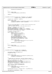```
631
632 PaceMsaAccess(usDspBaseIO);
633
634 }
635
636 PRINTK_1(TRACE_3780I,
\overline{\phantom{0}} \overline{\phantom{0}} \overline{\phantom{0}} 3780I::dsp3780I_ReadIStore exit bRC=TRUE\n");
638
639 return 0;
    \}641
642<br>643
<sup>643</sup> int dsp3780I_WriteIStore(unsigned short usDspBaseIO, void *pvBuffer,<br><sup>644</sup> unsigned uCount, unsigned long ulDSPAddr)
    Factor count, unsigned unsigned unsigned long ulDSPAddr)
645 {
646 unsigned short *pusBuffer = pvBuffer;
647
648 PRINTK_5(TRACE_3780I,
649 "3780i::dsp3780I_WriteIStore entry usDspBaseIO %x, pusBuffer %p, uCount %x, ulDSPAddr %lx\n",
650 usDspBaseIO, pusBuffer, uCount, ulDSPAddr);
651
652
653<br>654
* Set the initial MSA address. To convert from an instruction store<br>
* address to an MSA address
                address to an MSA address
\begin{array}{c}\n\text{656} \\
\text{656} \\
\text{666}\n\end{array} * shift the address two bits to the left and set bit 22
%57<br>
ulDSPAddr = (ulDSPAddr << 2) | (1 << 22);<br>
spin_lock_irqsave(&dsp_lock, flags);<br>
00tWordDsp(DSP_MsaAddrLow, (unsigned short) ulDSPAddr);<br>
00tWordDsp(DSP_MsaAddrHigh, (unsigned short) (ulDSPAddr >> 16));<br>
962<br>
962 spin
663<br>664
664 /* Transfer the memory block */665 while (uCount−− != 0) {
666 unsigned short val_lo, val_hi;
667 if(get_user(val_lo, pusBuffer++))
668 return −EFAULT;
669 if(get_user(val_hi, pusBuffer++))
670 return −EFAULT;
671 spin_lock_irqsave(&dsp_lock, flags);
672 OutWordDsp(DSP_MsaDataISLow, val_lo);
673 		 OutWordDsp(DSP_MsaDataDSISHigh, val_hi);<br>674 		 spin_unlock_irgrestore(&dsp_lock, flags)
                        spin_unlock_irqrestore(&dsp_lock, flags);
675
676 PRINTK_4(TRACE_3780I,
677 "3780I::dsp3780I_WriteIStore uCount %x val_lo %x val_hi %x\n",
678 uCount, val<sup>l</sup>o, valhi);
679
680 PaceMsaAccess(usDspBaseIO);
681
682 }
683
684 PRINTK_1(TRACE_3780I)<br>
ses = 3780I...dxn3780I
                         \frac{1}{6} 3780I::dsp3780I_WriteIStore exit bRC=TRUE\n");
686
687 return 0;
688 }
689
690
691 int dsp3780I_GetIPCSource(unsigned short usDspBaseIO,
692 unsigned short *pusIPCSource)
693 {
              DSP_HBRIDGE_CONTROL rHBridgeControl;
695 unsigned short temp;
696
697
698 PRINTK_3(TRACE_3780I,
999 PRINTK 3(TRACE_3780I_
<sup>699</sup><br>
<sup>1</sup>3780i::dsp3780I_GetIPCSource entry usDspBaseIO %x pusIPCSource %p\n",
                        usDspBaseIO, pusIPCSource);
701
702<br>703
703 * Disable DSP to PC interrupts, read the interupt register,
              * clear the pending IPC bits, and reenable DSP to PC interrupts<br>*/
705<br>706
706 spin_lock_irqsave(&dsp_lock, flags);
707 MKWORD(rHBridgeControl) = InWordDsp(DSP_HBridgeControl);
708 rHBridgeControl.EnableDspInt = FALSE;<br>709 01tWordDsp(DSP_HBridgeControl MKWORD
              OutWordDsp(DSP_HBridgeControl, MKWORD(rHBridgeControl));
710
%<br>711 * pusIPCSource = InWordDsp(DSP_Interrupt);<br>712 temp = (unsigned short) ~(*pusIPCSource);
              temp = (unsigned short) ~(*pusIPCSource);
713
714 PRINTK_3(TRACE_3780I,
715 "3780i::dsp3780I_GetIPCSource, usIPCSource %x ~ %x\n ",
716 *pusIPCSource, temp);
717
718 OutWordDsp(DSP_Interrupt, (unsigned short) ~(*pusIPCSource));
719
720 rHBridgeControl.EnableDspInt = TRUE;
Registered Version: Linux Kernel Support for Mwave Modem 3780i.c Exhibit 20.1−1 pg 8/9
```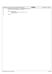| Registered Version: Linux Kernel Support for Mwave Modem |                                                          | 3780i.c | Exhibit 20.1-1 pg 9/9 |
|----------------------------------------------------------|----------------------------------------------------------|---------|-----------------------|
| 721                                                      | OutWordDsp(DSP_HBridgeControl, MKWORD(rHBridgeControl)); |         |                       |
| 722                                                      | spin_unlock_irqrestore(&dsp_lock, flags);                |         |                       |
| 723                                                      |                                                          |         |                       |
| 724                                                      |                                                          |         |                       |
| 725                                                      | PRINTK_2(TRACE_3780I,                                    |         |                       |
| 726                                                      | "3780i::dsp3780I_GetIPCSource exit usIPCSource %x\n",    |         |                       |
| 727                                                      | *pusIPCSource);                                          |         |                       |
| 728                                                      |                                                          |         |                       |
| 729                                                      | return 0;                                                |         |                       |
| 730                                                      |                                                          |         |                       |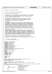$\sqrt{*}$  $\overline{2}$  \* mwavedd.c −− mwave device driver <sup>4</sup>  $\frac{5}{6}$ Written By: Mike Sullivan IBM Corporation  $\begin{array}{ccc} 7 & & * \\ & & * \end{array}$  \* Copyright (C) 1999 IBM Corporation <sup>9</sup> \* \* This program is free software; you can redistribute it and/or modify <sup>11</sup> \* it under the terms of the GNU General Public License as published by 12 \* the Free Software Foundation; either version 2 of the License, or<br>13 \* (at your option) any later version. at your option) any later version. <br> $15$  \* This program is distributed in the hope that it will be useful, <sup>16</sup> \* but WITHOUT ANY WARRANTY; without even the implied warranty of <sup>17</sup> \* MERCHANTABILITY or FITNESS FOR A PARTICULAR PURPOSE. See the \* GNU General Public License for more details. <sub>19</sub> 20 \* NO WARRANTY<br>21 \* THE PROGRAM \* THE PROGRAM IS PROVIDED ON AN "AS IS" BASIS, WITHOUT WARRANTIES OR <sup>22</sup> \* CONDITIONS OF ANY KIND, EITHER EXPRESS OR IMPLIED INCLUDING, WITHOUT<br><sup>23</sup> \* LIMITATION, ANY WARRANTIES OR CONDITIONS OF TITLE, NON-INFRINGEMENT, \* LIMITATION, ANY WARRANTIES OR CONDITIONS OF TITLE, NON−INFRINGEMENT, <sup>24</sup> \* MERCHANTABILITY OR FITNESS FOR A PARTICULAR PURPOSE. Each Recipient is<br><sup>25 \*</sup> solely responsible for determining the appropriateness of using and \* solely responsible for determining the appropriateness of using and \* distributing the Program and assumes all risks associated with its <sup>27</sup> \* exercise of rights under this Agreement, including but not limited to <sup>28</sup> \* the risks and costs of program errors, damage to or loss of data, \* programs or equipment, and unavailability or interruption of operations. 31 \* DISCLAIMER OF LIABILITY<br>32 \* NEITHER RECIPIENT NOR A \* NEITHER RECIPIENT NOR ANY CONTRIBUTORS SHALL HAVE ANY LIABILITY FOR ANY \* DIRECT, INDIRECT, INCIDENTAL, SPECIAL, EXEMPLARY, OR CONSEQUENTIAL <sup>34</sup> \* DAMAGES (INCLUDING WITHOUT LIMITATION LOST PROFITS), HOWEVER CAUSED AND \* ON ANY THEORY OF LIABILITY, WHETHER IN CONTRACT, STRICT LIABILITY, OR <sup>36</sup> \* TORT (INCLUDING NEGLIGENCE OR OTHERWISE) ARISING IN ANY WAY OUT OF THE \* USE OR DISTRIBUTION OF THE PROGRAM OR THE EXERCISE OF ANY RIGHTS GRANTED \* HEREUNDER, EVEN IF ADVISED OF THE POSSIBILITY OF SUCH DAMAGES <br> $40$ \* You should have received a copy of the GNU General Public License \* along with this program; if not, write to the Free Software <sup>42</sup> \* Foundation, Inc., 59 Temple Place, Suite 330, Boston, MA 02111−1307 USA \* 44<br>45 \* 10/23/2000 − Alpha Release  $\frac{46}{47}$  \* First release to the public  $*$  / <br> $49$  **#include** <linux/version.h> <sup>50</sup> **#include** <linux/module.h> **#include** <linux/kernel.h> **#include** <linux/fs.h> **#include** <linux/init.h> **#include** <linux/major.h> **#include** <linux/miscdevice.h> **#include** <linux/proc\_fs.h> #include <linux/serial.h> 58 **#include** <linux/sched.h><br>59 **#if** LINUX VERSION CODE > **#if** LINUX\_VERSION\_CODE >= KERNEL\_VERSION(2,4,0) **#include** <linux/spinlock.h> **#else #include** <asm/spinlock.h> **#endif #include** <linux/delay.h> <sup>65</sup> **#include** "smapi.h" **#include** "mwavedd.h" **#include** "3780i.h" **#include** "tp3780i.h" **#ifndef** \_\_exit  $\frac{1}{71}$  **#define** exit<br> $\frac{1}{72}$  **#endif #endif** MODULE\_DESCRIPTION("3780i Advanced Communications Processor (Mwave) driver"); MODULE\_AUTHOR("Mike Sullivan and Paul Schroeder"); 76 MODULE\_LICENSE("GPL"); **#if** LINUX\_VERSION\_CODE >= KERNEL\_VERSION(2,4,0) <sup>79</sup> **static** int mwave\_get\_info(char \*buf, char \*\*start, off\_t offset, int len); **#else static** int mwave\_read\_proc(char \*buf, char \*\*start, off\_t offset, int xlen, int unused); 82 **static** struct proc\_dir\_entry mwave\_proc = {<br>83 0,<br><sup>83</sup> 0, 5, /\* unsigned short namelen \*/  $4^*$  const char \*name \*/<br> $4^*$  mode\_t mode \*/  $\begin{array}{cc} 86 & \text{S_IFREG} \\ 87 & 1 \end{array}$  | S\_IRUGO,  $\begin{array}{ccc} 87 & 1, & \times & \text{mink t} \\ 88 & 0, & \times & \text{mink t} \\ 0, & \times & \text{mid t} \end{array}$  0, /\* uid\_t uid \*/ <sup>89</sup> 0, /\* gid\_t gid \*/ Registered Version: Linux Kernel Support for Mwave Modem **mwavedd.c** Exhibit 20.1−2 pg 1/8

0, /\* unsigned long size \*/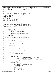```
91 NULL,<br>92 &mwave_read_proc /* int (*get_info) (...) */
93 };
    94 #endif
95
96 /*
97 * These parameters support the setting of MWave resources. Note that no
98 * checks are made against other devices (ie. superio) for conflicts.<br>99 * We'll depend on users using the tpctl utility to do that for now.
99 * We'll depend on users using the tpctl utility to do that for now */100 */<br>101 11int mwave_debug = 0;
102 int mwave_3780i_irq = 0;
103 int mwave_3780i_io = 0;
104 int mwave_uart_irq = 0;<br>105 int mwave uart io = 0;
    int mwave_uart_io = 0;
106 MODULE_PARM(mwave_debug, "i");
107 MODULE_PARM(mwave_3780i_irq, "i");
108 MODULE_PARM(mwave_3780i_io, "i");
109 MODULE_PARM(mwave_uart_irq, "i");
110 MODULE_PARM(mwave_uart_io, "i");
111
112 static int mwave_open(struct inode *inode, struct file *file);
113 static int mwave_close(struct inode *inode, struct file *file);
114 static int mwave_ioctl(struct inode *inode, struct file *filp,
115 unsigned int iocmd, unsigned long ioarg);
116
117 MWAVE DEVICE DATA mwave s mdd;
118
119 static int mwave_open(struct inode *inode, struct file *file)
120121 unsigned int retval = 0;
122
123 PRINTK_3 (TRACE_MWAVE,
124 PRINTK = 124 PMWAVedd:
mwavedd:
mwavedd:
mwavedd:
mwavedd:
124 PMWAVE,
124 PMWAVE
<sup>124</sup> "mwavedd::mwave_open, entry inode %x file %x\n",<br>
<sup>125</sup> (int) inode, (int) file);
125 (int) inode, (int) file);
126 PRINTK_2(TRACE_MWAVE,
<sup>127</sup> "mwavedd::mwave open, exit return retval %x\n", retval);
128
129 MOD_INC_USE_COUNT;<br>130 return retval;
             130 return retval;
131 }
132
133 static int mwave_close(struct inode *inode, struct file *file)
\begin{matrix} 134 \\ 135 \end{matrix}unsigned int retval = 0;
136
137 PRINTK_3 (TRACE_MWAVE,<br>138 mwavedd::mwave
<sup>138</sup> "mwavedd::mwave_close, entry inode %x file %x\n",<br>
<sup>139</sup> (int) inode (int) file);
                        (int) inode, (int) file);
140
141 PRINTK 2(TRACE MWAVE, "mwavedd::mwave close, exit retval \%x\u",
142 retval);
143
144 MOD_DEC_USE_COUNT;<br>145 return retyal;
             145 return retval;
146 }
147
148 static int mwave_ioctl(struct inode *inode, struct file *file,
149 unsigned int iocmd, unsigned long ioarg)
150 {
151 unsigned int retval = 0;
152 pMWAVE_DEVICE_DATA pDrvData = &mwave_s_mdd;
153
             PRINTK_5(TRACE_MWAVE,
155 "mwavedd::mwave_ioctl, entry inode %x file %x cmd %x arg %x\n",
156 (int) inode, (int) file, iocmd, (int) ioarg);
157
158 switch (iocmd) {
159
160 case Case IOCTL MW RESET:
161 PRINTK_1(TRACE_MWAVE,<br>162 mwavedd::mwave
162 "mwavedd::mwave_ioctl, IOCTL_MW_RESET calling tp3780I_ResetDSP\n");
163 retval = tp3780I_ResetDSP(&pDrvData−>rBDData);
                                  PRINTK_2(TRACE_MWAVE,
165 "mwavedd::mwave_ioctl, IOCTL_MW_RESET retval %x from tp3780I_ResetDSP\n",
166 retval);
167 break;
168
169 case IOCTL MW RUN:
170 PRINTK_1 (TRACE_MWAVE,
\overline{P}PRINTK_1 (TRACE_MWAVE,
"mwavedd::mwave
                                            171 "mwavedd::mwave_ioctl, IOCTL_MW_RUN calling tp3780I_StartDSP\n");
172 retval = tp3780I_StartDSP(&pDrvData−>rBDData);<br>PRINTK 2(TRACE MWAVE,
173 PRINTK_2(TRACE_MWAVE,
174 PRINTK PRINTK PHYSTER MANUS
<sup>174</sup> "mwavedd::mwave_ioctl, IOCTL_MW_RUN retval %x from tp3780I_StartDSP\n",<br>
retval :
                                           retval);
176 break;
177
178 case IOCTL_MW_DSP_ABILITIES: {<br>179 MW ABILITIES rAbilitie
                                 MW_ABILITIES rAbilities;
Registered Version: Linux Kernel Support for Mwave Modem mwavedd.c Exhibit 20.1−2 pg 2/8
```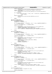```
181 PRINTK_1 ( TRACE_MWAVE , mwavedd::mwave_ioctl, IOCTL_MW_DSP_ABILITIES calling tp3780I_QueryAbilities\n" ) ;
183 retval = tp3780I_QueryAbilities(&pDrvData−>rBDData, &rAbilities);
                         PRINTK_2(TRACE_MWAVE,
185 "mwavedd::mwave_ioctl, IOCTL_MW_DSP_ABILITIES retval %x from tp3780I_QueryAbilities\n",
                                retval);
187 if (retval == 0) {
188 if( copy_to_user((char *) ioarg, (char *) &rAbilities, sizeof(MW_ABILITIES)) )
189 return −EFAULT;<br>190 191
\left\{\right\}191 PRINTK_2(TRACE_MWAVE,
<sup>192</sup> "mwavedd::mwave_ioctl, IOCTL_MW_DSP_ABILITIES exit retval % x \rightarrow x retval \};
193 relval;<br>
\} retval);
194 }
195 break;
196
197 case IOCTL_MW_READ_DATA:
198 case IOCTL_MW_READCLEAR_DATA:<br>199 MW_READWRITE_rReadData
199 MW_READWRITE rReadData<br>200 1200 mmsiqued short *pusBuf;
                         unsigned short *pusBuffer = 0;201
202 if( copy_from_user((char *) &rReadData, (char *) ioarg, sizeof(MW_READWRITE)) )
<sup>203</sup><br>
204 return −EFAULT;<br>
204 pusBuffer = (unsigned s)
                         pusBuffer = (unsigned short *) (rReadData.pBuf);
205
206 PRINTK_4(TRACE_MWAVE,
<sup>m</sup> mwavedd::mwave ioctl IOCTL_MW_READ_DATA, size %lx, ioarg %lx pusBuffer %p\n",
208 rReadData.ulDataLength, ioarg, pusBuffer);
209 retval = tp3780I_ReadWriteDspDStore(&pDrvData−>rBDData, iocmd,
                 (void *) pusBuffer, rReadData.ulDataLength, rReadData.usDspAddress);
211 \qquad \qquad \}212 break;
213<br>214<sup>214</sup> case IOCTL_MW_READ_INST: {<br><sup>215</sup> MW READWRITE rRead
215 MW_READWRITE rReadData;<br>216 majamed short *pusBuff
                        unsigned short *pusBuffer = 0;
217
218 if( copy_from_user((char *) &rReadData, (char *) ioarg, sizeof(MW_READWRITE)) )
<sup>219</sup> return −EFAULT;<br>220 return −EFAULT;
                        pusBuffer = (unsigned short *) (rReadData.pBuf);
221
222 PRINTK_4(TRACE_MWAVE,
<sup>m</sup> mwavedd::mwave_ioctl IOCTL_MW_READ_INST, size %lx, ioarg %lx pusBuffer %p\n",<br>rReadData.ulDataLength / 2. ioarg.
224 rReadData.ulDataLength \frac{1}{27} ioarg,<br>pusBuffer);
                                pusBuffer);
226 retval = tp3780I_ReadWriteDspDStore(&pDrvData−>rBDData,
227 iocmd, pusBuffer,
228 rReadData.ulDataLength / 2,<br>rReadData_usDspAddress);
229 rReadData.usDspAddress);
230 \Big\}231 break;
232<br>233
                 233 case IOCTL_MW_WRITE_DATA: {
234 MW_READWRITE rWriteData;<br>235 municipal short *nusBuffe
                         unsigned short *pusBuffer = 0;236
237 if( copy_from_user((char *) &rWriteData, (char *) ioarg, sizeof(MW_READWRITE)) )
<sup>238</sup> return −EFAULT;<br><sup>239</sup> 239 return − return − return − return − return − return − return − return − return − return − return − return − return − return − return − return − return − 
                         pusBuffer = (unsigned short *) (rWriteData.pBuf);
240<sup>241</sup> PRINTK 4 (TRACE MWAVE,
<sup>242</sup> "mwavedd::mwave_ioctl IOCTL_MW_WRITE_DATA, size %lx, ioarg %lx pusBuffer %p\n",<br>
243
243 rWriteData.ulDataLength, ioarg,<br>244 rusBuffer);
                                pusBuffer);
245 retval = tp3780I_ReadWriteDspDStore(&pDrvData−>rBDData, iocmd,
246 pusBuffer, rWriteData.ulDataLength, rWriteData.usDspAddress);
247 \Big\}248 break;
249
250 case IOCTL_MW_WRITE_INST: {
251 MW_READWRITE rWriteData;
                         unsigned short *pusBuffer = 0;253
254 if( copy_from_user((char *) &rWriteData, (char *) ioarg, sizeof(MW_READWRITE)) )
255 return −EFAULT;
256 pusBuffer = (unsigned short *) (rWriteData.pBuf);
257
258 PRINTK_4 (TRACE_MWAVE, 259
                                259 "mwavedd::mwave_ioctl IOCTL_MW_WRITE_INST, size %lx, ioarg %lx pusBuffer %p\n",
260 260 rWriteData.ulDataLength, ioarg, 261
                                pusBuffer);
262 retval = tp3780I_ReadWriteDspIStore(&pDrvData−>rBDData, iocmd,
263 pusBuffer, rWriteData.ulDataLength, rWriteData.usDspAddress);<br>264 pusBuffer, rWriteData.ulDataLength, rWriteData.usDspAddress);
264 }
265 break;
266
<sup>267</sup> case IOCTL_MW_REGISTER_IPC: {<br>
268 unsigned int ipcnum =
                         u<sub>nsigned</sub> int ipcnum = (unsigned int) ioarg;
269
270 PRINTK 3 (TRACE MWAVE,
Registered Version: Linux Kernel Support for Mwave Modem mwavedd.c Exhibit 20.1−2 pg 3/8
```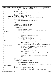```
271 "mwavedd::mwave_ioctl IOCTL_MW_REGISTER_IPC ipcnum %x entry usIntCount %x\n",
272 ipcnum,
273 pDrvData−>IPCs[ipcnum].usIntCount);
274
275 if (ipcnum > 16) {
                               276 PRINTK_ERROR(KERN_ERR_MWAVE "mwavedd::mwave_ioctl: IOCTL_MW_REGISTER_IPC: Error: Invalid ipcn
  um \%x\n", ipcnum);
<sup>277</sup> return −EINVAL;<br><sup>278</sup>
278 \Big\}279 pDrvData−>IPCs[ipcnum].bIsHere = FALSE;<br>pDrvData−>IPCs[ipcnum].bIsEnabled = TRU
280 pDrvData−>IPCs[ipcnum].bIsEnabled = TRUE;
281 #if LINUX_VERSION_CODE >= KERNEL_VERSION(2,4,0)
282 #else
283 current->priority = 0x28; /* boost to provide priority timing */<br>284 theodif
          Hendif285
<sup>236</sup> PRINTK_2(TRACE_MWAVE,
287 "mwavedd::mwave_ioctl IOCTL_MW_REGISTER_IPC ipcnum %x exit\n",
\begin{array}{ccc} 288 & \text{ipenum} \; ; \\ 289 & \text{ipenum} \end{array}289 }
290 break;
291
292 case IOCTL_MW_GET_IPC: {
293 unsigned int ipcnum = (unsigned int) ioarg;<br>
294 spinlock t ipc lock = SPIN LOCK UNLOCKED;
                        294 spinlock_t ipc_lock = SPIN_LOCK_UNLOCKED;
295 unsigned long flags;
296
297 PRINTK_3(TRACE_MWAVE,
<sup>1</sup> "mwavedd::mwave_ioctl IOCTL_MW_GET_IPC ipcnum %x, usIntCount %x\n",
                               ipcnum,
300 pDrvData->IPCs[ipcnum].usIntCount);<br>301 if (ipcnum > 16) {
                        if (ipcnum > 16)302 PRINTK_ERROR(KERN_ERR_MWAVE "mwavedd::mwave_ioctl: IOCTL_MW_GET_IPC: Error: Invalid ipcnum %x\
  n", ipcnum);
303 return −EINVAL;
304 }
305
306 if (pDrvData−>IPCs[ipcnum].bIsEnabled == TRUE) {
307 PRINTK_2(TRACE_MWAVE, 2008)
                                       " mwavedd::mwave_ioctl, thread for ipc %x going to sleep\n",
309 ipcnum);
310
311 spin_lock_irqsave(&ipc_lock, flags);<br>312 spin_lock_irqsave(&ipc_lock, flags);<br>312 spin_lock_whether an event was signal;
                                 check whether an event was signalled by */4* the interrupt handler while we were gone *314 if (pDrvData−>IPCs[ipcnum].usIntCount == 1) { /* first int has occurred (race c
  ondition) */
315 pDrvData->IPCs[ipcnum].usIntCount = 2; /* first int has been handled */<br>316 spin unlock irgrestore(&ipc lock, flags);
316 spin_unlock_irqrestore(&ipc_lock, flags);<br>
PRINTK 2(TRACE MWAVE,
317 PRINTK_2(TRACE_MWAVE,
318 "mwavedd::mwave_ioctl IOCTL_MW_GET_IPC ipcnum %x handling first int\n",
319 \qquad \qquad ipcnum);<br>320 \qquad \qquad else \qquad \qquad /* either
                                                either 1st int has not yet occurred, or we have already handle
  d the first int */
321 pDrvData−>IPCs[ipcnum].bIsHere = TRUE;
322 322 interruptible_sleep_on(&pDrvData->IPCs[ipcnum].ipc_wait_queue);<br>323 523 pDrvData->IPCs[ipcnum].bIsHere = FALSE;
                                      323 pDrvData−>IPCs[ipcnum].bIsHere = FALSE;
324 if (pDrvData−>IPCs[ipcnum].usIntCount == 1) {
325 pDrvData−>IPCs[ipcnum].<br>326 usIntCount = 2;
                                      \text{usIntCount} = 2;\left\{\right\}328 spin_unlock_irqrestore(&ipc_lock, flags);<br>329 sprint 2(TRACE MWAVE,
\overline{P} PRINTK_2(TRACE_MWAVE,<br>\overline{P} PRINTK_2(TRACE_MWAVE,<br>"mwavedd::mwav
                                              "mwavedd::mwave_ioctl IOCTL_MW_GET_IPC ipcnum %x woke up and returning to applicat
  ion\n",
i<sub>231</sub> ipcnum);
332<sup>2</sup>RINTK_2(TRACE_MWAVE, 334<br>334 magazine magazine magazine magazine magazine magazine magazine magazine magazine magazine magazine magazine m
\frac{334}{\text{m} \cdot \text{m}} "mwavedd::mwave_ioctl IOCTL_MW_GET_IPC, returning thread for ipc %x processing\n",
                        \text{ipenum};
336 }
337 }
338 break;
339
340 case IOCTL_MW_UNREGISTER_IPC: {
341 unsigned int ipcnum = (unsigned int) ioarg;
342
343 PRINTK_2(TRACE_MWAVE,
"mwavedd:'mwav
                                344 "mwavedd::mwave_ioctl IOCTL_MW_UNREGISTER_IPC ipcnum %x\n",
345 ipcnum);<br>346 if (ipcnum > 16)
                        if (ipcnum > 16)347 PRINTK_ERROR(KERN_ERR_MWAVE "mwavedd::mwave_ioctl: IOCTL_MW_UNREGISTER_IPC: Error: Invalid i
  pcnum %x\n", ipcnum);
348 return −EINVAL;
349 \}350 if (pDrvData−>IPCs[ipcnum].bIsEnabled == TRUE) {
351 pDrvData−>IPCs[ipcnum].bIsEnabled = FALSE;<br>352 if (pDrvData−>IPCs[ipcnum].bIsEnabled = FALSE;<br>352 if (pDrvData−>IPCs[ipcnum].bIsHere == TRUE
352 if (pDrvData−>IPCs[ipcnum].bIsHere == TRUE) {
                                      353 wake_up_interruptible(&pDrvData−>IPCs[ipcnum].ipc_wait_queue);
\left\{\right\}Registered Version: Linux Kernel Support for Mwave Modem mwavedd.c Exhibit 20.1−2 pg 4/8
```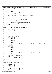} } **break**; **default**: PRINTK\_ERROR(KERN\_ERR\_MWAVE "mwavedd::mwave\_ioctl: Error: Unrecognized iocmd %x\n", iocmd); <sup>361</sup> **return** −ENOTTY;<br>362 **break**; 362 **break**;<br>363 **break**;<br> $\frac{1}{2}$  /\* switch \*/  $}$  /\* switch \*/ 365 PRINTK\_2(TRACE\_MWAVE, "mwavedd::mwave\_ioctl, exit retval %x\n", retval); **return** retval; } **static** ssize\_t mwave\_read(struct file \*file, char \*buf, size\_t count,  $rac{372}{373}$   $\left\{ \right.$   $\left. \right.$   $\left. \right.$   $\left. \right.$   $\left. \right.$   $\left. \right.$   $\left. \right.$   $\left. \right.$   $\left. \right.$   $\left. \right.$   $\left. \right.$   $\left. \right.$   $\left. \right.$   $\left. \right.$   $\left. \right.$   $\left. \right.$   $\left. \right.$   $\left. \right.$   $\left. \right.$   $\left. \right.$   $\left. \right.$   $\left. \right.$   $\left. \right.$  { PRINTK\_5(TRACE\_MWAVE,  $\frac{37552}{200}$  "mwavedd::mwave\_read entry file %p, buf %p, count %x ppos %p\n", file, buf, count, ppos); **return** −EINVAL; } **static** ssize\_t mwave\_write(struct file \*file, **const** char \*buf,  $\frac{1}{383}$ <br> $\frac{383}{384}$   $\left\{$  { 385 PRINTK\_5(TRACE\_MWAVE,
386 "mwavedd::mwave  $\frac{3}{2}$  mwavedd::mwave\_write entry file %p, buf %p, count %x ppos %p\n", file, buf, count, ppos); **return** −EINVAL;  $\}$  **static** int register\_serial\_portandirq(unsigned int port, int irq)  $\{$  struct serial\_struct serial; 397 **switch** ( port )<br>398 **case** 0x **case** 0x3f8: **case** 0x2f8: 400 **case** 0x3e8:<br>401 **case** 0x2e8: 401<br>402<br>402<br>**case** 0x2e8: /\*  $OK$  \*/<br> $403$  **break** : **break**; **default**: 405 PRINTK\_ERROR(KERN\_ERR\_MWAVE "mwavedd::register\_serial\_portandirq: Error: Illegal port %x\n", port );<br> **return** -1; 406 **return** −1;<br>407 **b** /\* switch \*/  $}$   $}$  /\* switch \*/<br> $408$  /\* port is oka  $\frac{1}{2}$  port is okay \*/ **switch** ( irq ) { <sup>411</sup> **case** 3: **case** 4: **case** 5: **case** 7: 415  $/$   $/$   $OK$   $*/$  **break**; **default**: PRINTK\_ERROR(KERN\_ERR\_MWAVE "mwavedd::register\_serial\_portandirq: Error: Illegal irq %x\n", irq ); **return** −1;<br>
420 **b** /\* switch \*/ 420  $\}$  /\* switch \*/<br>421 /\* irq is okay  $\frac{1}{2}$  irq is okay \*/ memset(&serial, 0, **sizeof**(serial)); <sup>424</sup> serial.port = port; <sup>425</sup> serial.irq = irq; serial.flags = ASYNC\_SHARE\_IRQ; **return** register\_serial(&serial); } **#if** LINUX\_VERSION\_CODE >= KERNEL\_VERSION(2,4,0)<br> $433$  **static** struct file operations mwave fops =  $\{$ 433 **static** struct file\_operations mwave\_fops = {<br>434 owner:THIS\_MODULE,<br>435 read:mwave\_read, 436 write:mwave\_write,<br>
437 ioctl:mwave\_ioctl. 437 ioctl:mwave\_ioctl,<br>438 open:mwave\_open. 438 open: mwave\_open<br>
439 release: mwave release:mwave\_close } ;<br> $441$  #e **#else static** struct file\_operations mwave\_fops = { <sup>443</sup> **NULL**, /\* lseek \*/  $\frac{1}{444}$  mwave\_read,  $\frac{1}{44}$  /\* read \*/ Registered Version: Linux Kernel Support for Mwave Modem **mwavedd.c** Exhibit 20.1−2 pg 5/8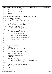```
445 mwave_write, \overline{M} /* write */<br>446 NULL, \overline{M} /* readdir
446 NULL, /* readdir */
447 NULL, \frac{1}{447} NULL, \frac{1}{48} NULL, \frac{1}{4} \frac{1}{4} \frac{1}{4} \frac{1}{4} \frac{1}{4} \frac{1}{4} \frac{1}{4} \frac{1}{4} \frac{1}{4} \frac{1}{4} \frac{1}{4} \frac{1}{4} \frac{1}{4} \frac{1}{4} \frac{1}{4} \frac{1}{4} \frac{1}{4} mwave_ioctl,<br>NULL,
449 NULL, /* mmap */
450 mwave_open, /* open */
451 NULL,<br>452 NULL,<br>452 NULL,<br>mwave_close /* release
    mwave_close */* release */
453<br>454
   454 #endif
455
456 static struct miscdevice mwave_misc_dev = { MWAVE_MINOR, "mwave", &mwave_fops };
457
458 /*
459 * mwave_init is called on module load
460 *<br>461 *...<br>461 * mwave_exit is called on module unload<br>462 * mwave exit is also used to clean up a
   * mwave_exit is also used to clean up after an aborted mwave_init
463<br>464
464 static void mwave_exit(void)
   \{466 pMWAVE DEVICE DATA pDrvData = \&mwave s mdd;
467
468 PRINTK_1(TRACE_MWAVE, "mwavedd::mwave_exit entry\n");
469
470 if (pDrvData−>bProcEntryCreated) {
471 #if LINUX_VERSION_CODE >= KERNEL_VERSION(2,4,0)
472 remove_proc_entry("mwave", NULL);
473 #else
                      proc_unregister(&proc_root, mwave_proc.low_ino);
475 #endif
476 }
477 if ( pDrvData−>sLine >= 0 ) {
                      unregister_serial(pDrvData->sLine);
\frac{479}{480}480 if (pDrvData−>bMwaveDevRegistered) {
481 misc_deregister(&mwave_misc_dev);
482 }
483 if (pDrvData−>bDSPEnabled) {
                      tp3780I_DisableDSP(&pDrvData->rBDData);
485 }
486 if (pDrvData−>bResourcesClaimed) {
487 tp3780I_ReleaseResources(&pDrvData−>rBDData);
488 }
489 if (pDrvData−>bBDInitialized) {
490 tp3780I_Cleanup(&pDrvData−>rBDData);
491 }
492<br>493PRINTK_1(TRACE_MWAVE, "mwavedd::mwave_exit exit\n");
   \rightarrow495
496 module exit(mwave exit);
497
498 static int __init mwave_init(void)
499\begin{array}{cc} 500 & \text{int} \text{ }i; \\ 501 & \text{int} \text{ }r \end{array}int retval = 0;
502 unsigned int resultMiscRegister;<br>503 bMWAVE DEVICE DATA pDrvData = &m
            503 pMWAVE_DEVICE_DATA pDrvData = &mwave_s_mdd;
504
505 memset(&mwave_s_mdd, 0, sizeof(MWAVE_DEVICE_DATA));
506
507 PRINTK_1(TRACE_MWAVE, "mwavedd::mwave_init entry\n");
508
509 pDrvData−>bBDInitialized = FALSE;
510 pDrvData−>bResourcesClaimed = FALSE;
511 pDrvData−>bDSPEnabled = FALSE;
512 pDrvData−>bDSPReset = FALSE;
513 pDrvData−>bMwaveDevRegistered = FALSE;
            514 pDrvData−>sLine = −1;
515 pDrvData−>bProcEntryCreated = FALSE;
516
517 for (i = 0; i < 16; i++)<br>518 b DrvData \rightarrow IPCs[i]pDrvData->IPCs[i].bIsEnabled = FALSE;
519 pDrvData−>IPCs[i].bIsHere = FALSE;
520 pDrvData−>IPCs[i].usIntCount = 0; /* no ints received yet */
521 #if LINUX_VERSION_CODE >= KERNEL_VERSION(2,4,0)
522 init_waitqueue_head(&pDrvData−>IPCs[i].ipc_wait_queue);
   523 #endif
524 }
525
526 retval = tp3780I_InitializeBoardData(&pDrvData−>rBDData);
527 PRINTK_2(TRACE_MWAVE,<br>528 mwavedd::mwave
\frac{528}{528} "mwavedd::mwave_init, return from tp3780I_InitializeBoardData retval %x\n",
                      retval);
530 if (retval) {
531 PRINTK_ERROR(KERN_ERR_MWAVE "mwavedd::mwave_init: Error: Failed to initialize board data\n");<br>532 goto cleanup_error;
532 goto cleanup_error;
533 }
534 pDrvData−>bBDInitialized = TRUE;
Registered Version: Linux Kernel Support for Mwave Modem mwavedd.c Exhibit 20.1−2 pg 6/8
```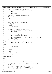```
535
536 retval = tp3780I_CalcResources(&pDrvData−>rBDData);
537 PRINTK_2(TRACE_MWAVE,<br>538 "mwavedd::mwav
                       538 "mwavedd::mwave_init, return from tp3780I_CalcResources retval %x\n",
539 retval);<br>540 if (retval) {
             if (retval) {
541 PRINTK_ERROR(KERN_ERR_MWAVE "mwavedd:mwave_init: Error: Failed to calculate resources\n");<br>542 90to Cleanup error;
             goto cleanup_error;
543 }
544
545 retval = tp3780I_ClaimResources(&pDrvData−>rBDData);
<sup>546</sup> PRINTK_2 (TRACE_MWAVE,<br><sup>546</sup> PRINTK_2 (TRACE_MWAVE,<br>mwavedd::mwav
547 "mwavedd::mwave_init, return from tp3780I_ClaimResources retval %x\n",<br>
548 retval );
548 retval);<br>549 if (retyal) \left(if (refval)550 PRINTK_ERROR(KERN_ERR_MWAVE "mwavedd:mwave_init: Error: Failed to claim resources\n");<br>551 9050 Cleanup error;
                       551 goto cleanup_error;
552 }
             553 pDrvData−>bResourcesClaimed = TRUE;
554
555 retval = tp3780I_EnableDSP(&pDrvData−>rBDData);
556 PRINTK_2 (TRACE_MWAVE,<br>557 mwavedd::mwave
<sup>557</sup> "mwavedd::mwave_init, return from tp3780I_EnableDSP retval %x\n",<br>558 retval );
558 retval);<br>559 if (retval) {
             if (retval) {
560 PRINTK_ERROR(KERN_ERR_MWAVE "mwavedd:mwave_init: Error: Failed to enable DSP\n");
561 goto cleanup error;
562 }
563 pDrvData−>bDSPEnabled = TRUE;
564
565 resultMiscRegister = misc_register(&mwave_misc_dev);
566 if (resultMiscRegister < 0) {
567 PRINTK_ERROR(KERN_ERR_MWAVE "mwavedd:mwave_init: Error: Failed to register misc device\n");<br>568 SAR SAR SAR
568 goto cleanup_error;
569 }
570 pDrvData−>bMwaveDevRegistered = TRUE;
571
572 pDrvData−>sLine = register_serial_portandirq(
573 pDrvData−>rBDData.rDspSettings.usUartBaseIO,
                       574 pDrvData−>rBDData.rDspSettings.usUartIrq
575 );
576 if (pDrvData−>sLine < 0) {
577 PRINTK_ERROR(KERN_ERR_MWAVE "mwavedd:mwave_init: Error: Failed to register serial driver\n");<br>578 9000 cleanup error;
                       goto cleanup_error;
579 }
580 /* uart is registered */
581
582 if (
   583 #if LINUX_VERSION_CODE >= KERNEL_VERSION(2,4,0)
584 !create_proc_info_entry("mwave", 0, NULL, mwave_get_info)
585 #else
586 proc_register(&proc_root, &mwave_proc)<br>587 #endif
   587 #endif
588 ) {
                       PRINTK_ERROR(KERN_ERR_MWAVE "mwavedd::mwave_init: Error: Failed to register /proc/mwave\n");
590 goto cleanup_error;
591 }
592 pDrvData−>bProcEntryCreated = TRUE;
593
594 /* SUCCESS! */
595 return 0;
596
597 cleanup_error:<br>598 FRINTK ERROR(K
             598 PRINTK_ERROR(KERN_ERR_MWAVE "mwavedd::mwave_init: Error: Failed to initialize\n");
599 mwave_exit(); /* clean up */
600
601 return −EIO;
   \rightarrow603
604 module_init(mwave_init);
605
606
607 /*
608 * proc entry stuff added by Ian Pilcher <pilcher@us.ibm.com>
609 *
610
611 #if LINUX_VERSION_CODE >= KERNEL_VERSION(2,4,0)
612 static int mwave_get_info(char *buf, char **start, off_t offset, int len)
613 {
614 DSP_3780I_CONFIG_SETTINGS *pSettings = &mwave_s_mdd.rBDData.rDspSettings;
615
char * out = buf;617
618 out += sprintf(out, "3780i_IRQ %i\n", pSettings−>usDspIrq);
619 out += sprintf(out, "3780i_DMA %i\n", pSettings−>usDspDma);
620 out += sprintf(out, "3780i_IO %#.4x\n", pSettings−>usDspBaseIO);
621 out += sprintf(out, "UART_IRQ %i\n", pSettings−>usUartIrq);
622 out += sprintf(out, "UART_IO %#.4x\n", pSettings−>usUartBaseIO);
623
624 return out − buf;
Registered Version: Linux Kernel Support for Mwave Modem mwavedd.c Exhibit 20.1−2 pg 7/8
```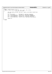```
625<br>626
626 #else /* kernel version < 2.4.0 */
627 static int mwave_read_proc(char *buf, char **start, off_t offset,
628 int xlen, int unused)
628<br>
629 {<br>
630020<br>630 DSP_3780I_CONFIG_SETTINGS *pSettings = &mwave_s_mdd.rBDData.rDspSettings;<br>631 int len;
                  int len;
632
%33<br>
len = sprintf(buf, "3780i_IRQ %i\n", pSettings->usDspIrq);<br>
len += sprintf(&buf[len], "3780i_DMA %i\n", pSettings->usDspDma);<br>
len += sprintf(&buf[len], "3780i_IO %#.4x\n", pSettings->usDspDaseIO);<br>
len += sprintf(&bu
638
639 return len;
640 }
     641 #endif
Registered Version: Linux Kernel Support for Mwave Modem mwavedd.c Exhibit 20.1−2 pg 8/8
```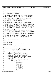$\sqrt{*}$  $\overline{2}$ <sup>3</sup> \* smapi.c −− SMAPI interface routines <sup>4</sup>  $\frac{5}{6}$ Written By: Mike Sullivan IBM Corporation  $\begin{array}{ccc} 7 & & * \\ & & * \end{array}$ <sup>8</sup> \* Copyright (C) 1999 IBM Corporation <sup>9</sup> \* <sup>10</sup> \* This program is free software; you can redistribute it and/or modify <sup>11</sup> \* it under the terms of the GNU General Public License as published by 12 \* the Free Software Foundation; either version 2 of the License, or<br>13 \* (at your option) any later version. at your option) any later version.  $14$ <br> $15$ <sup>15</sup> \* This program is distributed in the hope that it will be useful, <sup>16</sup> \* but WITHOUT ANY WARRANTY; without even the implied warranty of <sup>17</sup> \* MERCHANTABILITY or FITNESS FOR A PARTICULAR PURPOSE. See the <sup>18</sup> \* GNU General Public License for more details. <sub>19</sub> 20 \* NO WARRANTY<br>21 \* THE PROGRAM <sup>21</sup> \* THE PROGRAM IS PROVIDED ON AN "AS IS" BASIS, WITHOUT WARRANTIES OR <sup>22</sup> \* CONDITIONS OF ANY KIND, EITHER EXPRESS OR IMPLIED INCLUDING, WITHOUT<br><sup>23</sup> \* LIMITATION, ANY WARRANTIES OR CONDITIONS OF TITLE, NON-INFRINGEMENT, <sup>23</sup> \* LIMITATION, ANY WARRANTIES OR CONDITIONS OF TITLE, NON−INFRINGEMENT, <sup>24</sup> \* MERCHANTABILITY OR FITNESS FOR A PARTICULAR PURPOSE. Each Recipient is<br><sup>25 \*</sup> solely responsible for determining the appropriateness of using and \* solely responsible for determining the appropriateness of using and <sup>26</sup> \* distributing the Program and assumes all risks associated with its <sup>27</sup> \* exercise of rights under this Agreement, including but not limited to <sup>28</sup> \* the risks and costs of program errors, damage to or loss of data, <sup>29</sup> \* programs or equipment, and unavailability or interruption of operations.  $30$ 31 \* DISCLAIMER OF LIABILITY<br>32 \* NEITHER RECIPIENT NOR A <sup>32</sup> \* NEITHER RECIPIENT NOR ANY CONTRIBUTORS SHALL HAVE ANY LIABILITY FOR ANY <sup>33</sup> \* DIRECT, INDIRECT, INCIDENTAL, SPECIAL, EXEMPLARY, OR CONSEQUENTIAL <sup>34</sup> \* DAMAGES (INCLUDING WITHOUT LIMITATION LOST PROFITS), HOWEVER CAUSED AND <sup>35</sup> \* ON ANY THEORY OF LIABILITY, WHETHER IN CONTRACT, STRICT LIABILITY, OR <sup>36</sup> \* TORT (INCLUDING NEGLIGENCE OR OTHERWISE) ARISING IN ANY WAY OUT OF THE <sup>37</sup> \* USE OR DISTRIBUTION OF THE PROGRAM OR THE EXERCISE OF ANY RIGHTS GRANTED <sup>38</sup> \* HEREUNDER, EVEN IF ADVISED OF THE POSSIBILITY OF SUCH DAMAGES  $39$ <br> $40$ \* You should have received a copy of the GNU General Public License <sup>41</sup> \* along with this program; if not, write to the Free Software <sup>42</sup> \* Foundation, Inc., 59 Temple Place, Suite 330, Boston, MA 02111−1307 USA <sup>43</sup> \*  $44$ <br> $45$ <sup>45</sup> \* 10/23/2000 − Alpha Release <sup>46</sup> \* First release to the public  $47$  \* /  $48$ <br> $49$ <sup>49</sup> **#include** <linux/version.h> <sup>50</sup> **#include** <linux/kernel.h> <sup>51</sup> **#include** <linux/mc146818rtc.h> /\* CMOS defines \*/ 52 **#include** "smapi.h"<br>53 **#include** "mwavedo <sup>53</sup> **#include** "mwavedd.h" 54 <sup>55</sup> **static** unsigned short g\_usSmapiPort = 0; 56 57 <sup>58</sup> int smapi\_request(unsigned short inBX, unsigned short inCX, <sup>59</sup> unsigned short inDI, unsigned short inSI, <sup>60</sup> unsigned short \*outAX, unsigned short \*outBX, <sup>61</sup> unsigned short \*outCX, unsigned short \*outDX, 62<br>
unsigned short \*outDI, unsigned short \*outSI)<br>
63  $\begin{matrix} 63 \\ 64 \end{matrix}$ unsigned short myoutAX = 2, \*pmyoutAX = &myoutAX; <sup>65</sup> unsigned short myoutBX = 3, \*pmyoutBX = &myoutBX; <sup>66</sup> unsigned short myoutCX = 4, \*pmyoutCX = &myoutCX; <sup>67</sup> unsigned short myoutDX = 5, \*pmyoutDX = &myoutDX; <sup>68</sup> unsigned short myoutDI = 6, \*pmyoutDI = &myoutDI; 69 unsigned short myoutSI = 7, \*pmyoutSI = &myoutSI;<br>
70 unsigned short usSmapiOK = −EIO, \*pusSmapiOK = &usSmapiOK;<br>
71 unsigned int inBXCX = (inBX << 16) | inSI;<br>
72 unsigned int inDISI = (inDI << 16) | inSI; <sup>73</sup> int retval = 0; 74 <sup>75</sup> PRINTK\_5(TRACE\_SMAPI, "inBX %x inCX %x inDI %x inSI %x\n", <sup>76</sup> inBX, inCX, inDI, inSI); 77 <sup>78</sup> \_\_asm\_\_ \_\_volatile\_\_("movw \$0x5380,%%ax\n\t"  $\mathbb{Z}$  movl %7%%ebx\n\t"  $80$   $\frac{\text{shr1 } \$16, \% \% \text{ebx} \ln\text{l}}{\text{m} \cdot \text{m} \cdot \text{m} \cdot \text{m} \cdot \text{m} \cdot \text{m} \cdot \text{m} \cdot \text{m} \cdot \text{m} \cdot \text{m} \cdot \text{m}}$  $\frac{31}{82}$  "movw %7,%%cx\n\t"<br>
"movw %7,%%cx\n\t"<br>
"movl %8,%%edi\n\t" <sup>82</sup> "movl %8,%%edi\n\t" 83  $\frac{\text{m}}{\text{snr}} \frac{\$16,\% \text{4} \text{cm}}{\$8,6\% \text{cm} \text{cm}}$ " movw %8,%%si\n\t"<br>85 "movw %9,%%dx\n\t"  $\frac{86}{87}$  "out %%al,%%dx\n\t"<br>87 "out %%al,\$0x4F\n\t"  $88$   $88$   $89 \times 53, %804 \times 10^{10}$ <br>  $88$   $89 \times 53, %804 \times 10^{11}$ 88 "cmpb  $\frac{60x53, %}{x}$  "cmpb  $\frac{1}{x}$ " e  $\frac{2}{x}$  ah\n\t"  $"je^-2f\ln\left|t\right|$ Registered Version: Linux Kernel Support for Mwave Modem **smapi.c** Exhibit 20.1−3 pg 1/7

 $\frac{1}{20}$   $\frac{1}{20}$   $\frac{1}{20}$   $\frac{1}{20}$   $\frac{1}{20}$   $\frac{1}{20}$   $\frac{1}{20}$   $\frac{1}{20}$   $\frac{1}{20}$   $\frac{1}{20}$   $\frac{1}{20}$   $\frac{1}{20}$   $\frac{1}{20}$   $\frac{1}{20}$   $\frac{1}{20}$   $\frac{1}{20}$   $\frac{1}{20}$   $\frac{1}{20}$   $\frac{1}{20}$   $\frac{1}{20}$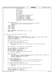```
91 "orb %%ah,%%ah\n\t"<br>\frac{1}{2} "orb %%ah\n\t"
                                           " jnz 2f\ln\{t\}"
93 "movw %%ax,%0\n\t"<br>
"movw %%bx,%1\n\t"
                                           "movw %%bx,%1\n\t"
95 "movw %%cx,%2\n\t"<br>"movw %%dx.%3\n\t"
                                           "movw %%dx,%3\n\t"
\frac{1}{97} "movw %%di,%4\n\t"
98 "movw %%si,%5\n\t"<br>99 "movw $1,%6\n\t"
99 "movw $1,%6\n\t"<br>
\frac{1}{2}:\n\t": "=m" ( * (
100 "2:\n
"2:\n
"1:\n
"1:\n
"1:\n
"1:\n
"1:\n
"1:\n
"1:\n
"1:\n
"1:\n
"1:\n
"1:\n
"1:\n
"1:\n
"1:\n
"1:\n
"1:\n
"1:\n
"1:\n
"1:\n
"1:\n
"1:\n
"1:\n
"1:\n
"1:\n
"1:\n
"1:\n
"1:\n
"1:\n
"1:\n

101 "=m"(*(unsigned short *) pmyoutBX),
102 "=m"(*(unsigned short *) pmyoutCX),
\lim_{n \to \infty} \frac{1}{n} (unsigned short *) pmyoutDX),<br>\lim_{n \to \infty} \frac{1}{n} (unsigned short *) pmyoutDY),
104<br>
105 \text{m} = \text{m}'' (*(unsigned short *) pmyoutDI),<br>
105 \text{m} = \text{m}'' (*(unsigned short *) pusSmapiOK)<br>
107 : \text{m}'' (105 \text{m}''), \text{m}'' (100 \text{m}''), \text{m}'' (g_usSmapiPort)<br>
108 : "%eax", "%ebx", "%ecx", 
109 \sqrt{6}esi");
110
111 PRINTK_8(TRACE_SMAPI,
<sup>112</sup> "myoutAX %x myoutBX %x myoutCX %x myoutDX %x myoutDI %x myoutSI %x usSmapiOK %x\n",<br><sup>113</sup> myoutAX, myoutBX, myoutCX, myoutDX, myoutDI, myoutSI,
113 myoutAX, myoutBX, myoutCX, myoutDX, myoutDI, myoutSI,<br>114 usSmapiOK);
114 usSmapiOK);<br>
115 *outAX = myoutAX;
               *outAX = myoutAX;
116 *outBX = myoutBX;
*outCX = myoutCX;
118 * out DX = myout DX;
119 * out DI = myout DI;<br>* out SI = myout SI;
               *outSI = myoutSI;
121
122 retval = (usSmapiOK == 1) ? 0 : −EIO;
123 PRINTK_2(TRACE_SMAPI, "smapi::smapi_request exit retval %x\n", retval);
124 return retval;<br>125 }
    }
126
127
128 int smapi_query_DSP_cfg(SMAPI_DSP_SETTINGS * pSettings)<br>129 {
\begin{matrix} 129 \\ 130 \end{matrix}int bRC = -FIO;
131 unsigned short usAX, usBX, usCX, usDX, usDI, usSI;
132 unsigned short ausDspBases[] = { 0x0030, 0x4E30, 0x8E30, 0xCE30, 0x0130, 0x0350, 0x0070, 0x0DB0 };
133 unsigned short ausUartBases[] = { 0x03F8, 0x02F8, 0x03E8, 0x02E8 };
134 unsigned short numDspBases = 8;<br>135 unsigned short numUartBases = 4
               unsigned short numUartBases = 4;136
137 PRINTK_1(TRACE_SMAPI, "smapi::smapi_query_DSP_cfg entry\n");
138<br>139
139 bRC = smapi_request(0x1802, 0x0000, 0, 0,<br>140 6usAX, &usBX, &usCX, &usDX, &usDI
                          140 &usAX, &usBX, &usCX, &usDX, &usDI, &usSI);
141 if (bRC) {
142 PRINTK_ERROR(KERN_ERR_MWAVE "smapi::smapi_query_DSP_cfg: Error: Could not get DSP Settings. Aborting.\n");<br>143 PELITE bRC;
               <sup>1</sup>}<br>
143 return bRC;
144 }
145
146 PRINTK_1(TRACE_SMAPI, "smapi::smapi_query_DSP_cfg, smapi_request OK\n");
147
148 pSettings−>bDSPPresent = ((usBX & 0x0100) != 0);
149 pSettings−>bDSPEnabled = ((usCX & 0x0001) != 0);
150 pSettings−>usDspIRQ = usSI & 0x00FF;
151 pSettings−>usDspDMA = (usSI & 0xFF00) >> 8;
152 if ((usDI & 0x00FF) < numDspBases) {
153 pSettings−>usDspBaseIO = ausDspBases[usDI & 0x00FF];
154 } else {
155 pSettings−>usDspBaseIO = 0;
156 }
157 PRINTK_6(TRACE_SMAPI,<br>158 | smapi::smapi que
<sup>158</sup> "smapi::smapi_query_DSP_cfg get DSP Settings bDSPPresent %x bDSPEnabled %x usDspIRQ %x usDspDMA %x usDspBaseIO %x\n",<br>159<br>DSELLings->bDSPPresent, pSettings->bDSPEnabled.
159 pSettings−>bDSPPresent, pSettings−>bDSPEnabled,
160 pSettings−>usDspIRQ, pSettings−>usDspDMA,
161 pSettings−>usDspBaseIO);
162
163 /* check for illegal values *<br>164 if ( pSettings->usDspBaseIO =
               164 if ( pSettings−>usDspBaseIO == 0 ) 
165 PRINTK_ERROR(KERN_ERR_MWAVE "smapi::smapi_query_DSP_cfg: Worry: DSP base I/O address is 0\n");
166 if ( pSettings−>usDspIRQ == 0 )
167 PRINTK_ERROR(KERN_ERR_MWAVE "smapi::smapi_query_DSP_cfg: Worry: DSP IRQ line is 0\n");
168
169 bRC = smapi_request(0x1804, 0x0000, 0, 0,
170 &usAX, &usBX, &usCX, &usDX, &usDI, &usSI);
               if (bRC) \{172 PRINTK_ERROR("smapi::smapi_query_DSP_cfg: Error: Could not get DSP modem settings. Aborting.\n");<br>
173 return bRC;
               <sup>1</sup>return bRC;<br><sup>1</sup>
174 } 
175
176 PRINTK_1(TRACE_SMAPI, "smapi::smapi_query_DSP_cfg, smapi_request OK\n");
177
178 pSettings−>bModemEnabled = ((usCX & 0x0001) != 0);<br>179 pSettings−>usUartIRO = usSI & 0x000F;
               179 pSettings−>usUartIRQ = usSI & 0x000F;
180 if (((usSI & 0xFF00) >> 8) < numUartBases) {
Registered Version: Linux Kernel Support for Mwave Modem SMapi.c Exhibit 20.1–3 pg 2/7
```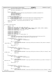```
181 pSettings−>usUartBaseIO = ausUartBases[(usSI & 0xFF00) >> 8];
182 } else {
183 pSettings−>usUartBaseIO = 0;
184 }
185
186 PRINTK_4(TRACE_SMAPI,
187 "smapi::smapi_query_DSP_cfg get DSP modem settings bModemEnabled %x usUartIRQ %x usUartBaseIO %x\n",
188 pSettings−>bModemEnabled,
189 pSettings−>usUartIRQ,<br>pSettings−>usUartBase<br>pSettings−>usUartBase
                         190 pSettings−>usUartBaseIO);
191
192 /* check for illegal values */<br>193 if ( pSettings->usUartBaseIO =
193 if ( pSettings−>usUartBaseIO == 0 ) 
194 PRINTK_ERROR(KERN_ERR_MWAVE "smapi::smapi_query_DSP_cfg: Worry: UART base I/O address is 0\n");<br>
if ( pSettings->usUart IRO == 0 )
              195 if ( pSettings−>usUartIRQ == 0 )
196 PRINTK_ERROR(KERN_ERR_MWAVE "smapi::smapi_query_DSP_cfg: Worry: UART IRQ line is 0\n");
197
198 PRINTK_2(TRACE_SMAPI, "smapi::smapi_query_DSP_cfg exit bRC %x\n", bRC);
199
200 return bRC;
    \}202
203
204 int smapi_set_DSP_cfg(void)<br>205 {
205 {
206 int bRC = −EIO;
207 int i;
208 unsigned short usAX, usBX, usCX, usDX, usDI, usSI;
209 unsigned short ausDspBases[] = { 0x0030, 0x4E30, 0x8E30, 0xCE30, 0x0130, 0x0350, 0x0070, 0x0DB0 };
210 unsigned short ausUartBases[] = { 0x03F8, 0x02F8, 0x03E8, 0x02E8 };
211 unsigned short ausDspIrqs[] = { 5, 7, 10, 11, 15 };
212 unsigned short ausUartIrqs[] = { 3, 4 };
213<br>214214 unsigned short numDspBases = 8;<br>215 unsigned short numUartBases = 4
215 unsigned short numUartBases = 4;
216 unsigned short numDspIrqs = 5;
217 unsigned short numUartIrqs = 2;<br>218 unsigned short dspio_index = 0,
              unsigned short dspio_index = 0, uartio_index = 0;
219
220 PRINTK_5(TRACE_SMAPI,
221 "smapi::smapi_set_DSP_cfg entry mwave_3780i_irq %x mwave_3780i_io %x mwave_uart_irq %x mwave_uart_io %x\n",
222 mwave_3780i_irq, mwave_3780i_io, mwave_uart_irq, mwave_uart_io);
223
224 if (mwave_3780i_io) {
225 for (i = 0; i < numDspBases; i++) {
226 if (mwave_3780i_io == ausDspBases[i])
227 break;
228 \Big\}229 if (i == numDspBases)<br>230 PRINTK ERROR(K
                                   230 PRINTK_ERROR(KERN_ERR_MWAVE "smapi::smapi_set_DSP_cfg: Error: Invalid mwave_3780i_io address %x. Aborting.\n",
     mwave 3780i io);
231 return bRC;
232 \Big\}233 dspio_index = i;<br>234 }
              \}235
236 if (mwave_3780i_irq) {
237 for (i = 0; i <i>infty</i> and <i>infty</i> is a function of <math>i + i</math> and <i>infty</i> is a function of <math>i</math> for <math>i</math> and <i>infty</i> is a function of <math>i</math> for <math>i</math> and <i>infty</i> is a function of <math>i</math> for <math>i</math> and <i>infty</i> is a function of <math>i</math> for <math>i</math> and <i>infty</i> is a function of <math>i</math> for <math>i</math> and <i>infty</i> is a function of <math>i</math> for <math>i</math> and <i>infty</i> is a function of <math>i</math>\mathbf{if} (mwave_3780i_irq == ausDspIrqs[i])<br>
if (mwave_3780i_irq == ausDspIrqs[i])
                                             239 break;
\{240\}241 if (i == numDspIrqs)<br>
242 PRINTK ERROR
                                   242 PRINTK_ERROR(KERN_ERR_MWAVE "smapi::smapi_set_DSP_cfg: Error: Invalid mwave_3780i_irq %x. Aborting.\n", mwav
    e_3780i_irq);
243 return bRC;
244 }
245 }
246
247 if (mwave_uart_io) {
248 for (i = 0; i < numUartBases; i++) {
<sup>249</sup> if (mwave_uart_io == ausUartBases[i])<br>250
250 break;
251 }
252 if (i == numUartBases) {
253 PRINTK_ERROR(KERN_ERR_MWAVE "smapi::smapi_set_DSP_cfg: Error: Invalid mwave_uart_io address %x. Aborting.\n", m
    wave uart io);
254 return bRC;
255 }
256 uartio_index = i;257 }
258
259
260 if (mwave_uart_irq) {<br>261 for i = 0; i
261 for (i = 0; i <i>k</i> commutartIrqs; i++) {<br>
262<br>
for (i = 0; i <i>k</i> commutartIrq i = 0 and i = 0262 if (mwave_uart_irq == ausUartIrqs[i])
263 break;
264 }
265 if (i == numUartIrqs) {
                                   266 PRINTK_ERROR(KERN_ERR_MWAVE "smapi::smapi_set_DSP_cfg: Error: Invalid mwave_uart_irq %x. Aborting.\n", mwave_
    uart_irq);
Registered Version: Linux Kernel Support for Mwave Modem SMapi.c Exhibit 20.1–3 pg 3/7
```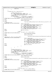```
267 return bRC;
268 \Big\}269 }
270
271 if (mwave_uart_irq || mwave_uart_io) {
272
273 /* Check serial port A<br>274 bRC = smapi request(0x14
274 bRC = smapi_request(0x1402, 0x0000, 0, 0,<br>275 ausAX, &usBX, &usCX, &usDX, &usDI
275 6 &usAX, &usBX, &usCX, &usDX, &usDI, &usSI);<br>276 if (bRC) goto exit smapi request error;
276 if (bRC) goto exit_smapi_request_error;<br>
\frac{77}{277} /* bRC == 0 */
                     \dot{D}RC = 0 */278 if (usBX & 0x0100) { /* serial port A is present */
279 if (usCX & 1) { /* serial port is enabled */
280 if ((usS1 & 0xFF) = mwave\_uart\_irq) {<br>284 #ifndef MWAVE FUTE WITH OTHER DEVICES
   281 #ifndef MWAVE_FUTZ_WITH_OTHER_DEVICES
282 PRINTK_ERROR(KERN_ERR_MWAVE
   283 #else
284<br>285 #endif PRINTK_3(TRACE_SMAPI,
   285 #endif
286 "smapi::smapi_set_DSP_cfg: Serial port A irq %x conflicts with mwave_uart_irq %x\n", usS
   I, mwaye uart irg);
287 #ifdef MWAVE_FUTZ_WITH_OTHER_DEVICES
288 PRINTK_1(TRACE_SMAPI,<br>289 PRINTK_1(TRACE_SMAPI,
<sup>1</sup> smapi::smapi_set_DSP_cfg Disabling conflicting serial port\n");<br>{}^{1} smapi_set_DSP_cfg Disabling conflicting serial port\n");
290 bRC = smapi_request(0x1403, 0x0100, 0, usSI,
291 &usAX, &usBX, &usCX, &usDX, &usDI, &usSI);
292 if (bRC) goto exit_smapi_request_error;
293 bRC = smapi_request(0x1402, 0x0000, 0, 0,
294 &usAX, &usBX, &usCX, &usDX, &usDI, &usSI);
295 if (bRC) goto exit_smapi_request_error;
296 #else
                                           297 goto exit_conflict;
298 #endif
                                   299 } else {
300 if ((usSI >> 8) == uartio_index) {
   301 #ifndef MWAVE_FUTZ_WITH_OTHER_DEVICES
302<br>302<br>303 #else
303 #else
304 PRINTK_3(TRACE_SMAPI,
   305 #endif
306 "smapi::smapi_set_DSP_cfg: Serial port A base I/O address index %x conflicts with
    uartio_index %x\n", usSI >> 8, uartio_index);
307 #ifdef MWAVE_FUTZ_WITH_OTHER_DEVICES
308 PRINTK_1 (TRACE_SMAPI)<br>309 south and the contract of the contract of the contract of the contract of the contract of the contract of the contract of the contract of the contract of the contract of the contract of the c
%309 "smapi::smapi_set_DSP_cfg Disabling conflicting serial port\n");<br>310 bRC = smapi_request (0x1403, 0x0100, 0, usSI,<br>311 &usAX, &usBX, &usCX, &usDX, &usDI, &usSI);
312 if (bRC) goto exit_smapi_request_error;
313 bRC = smapi_request (0x1402, 0x0000, 0, 0,
314 &usAX, &usBX, &usCX, &usDX, &usDI, &usSI);
315 if (bRC) goto exit_smapi_request_error;
316 #else
                                                  317 goto exit_conflict;
318 #endif
\{319\}320 }
321 }
322 }
323
324 /* Check serial port B */
325 bRC = smapi_request(0x1404, 0x0000, 0, 0,
326 &usAX, &usBX, &usCX, &usDX, &usDI, &usSI);
327 if (bRC) goto exit_smapi_request_error;<br>
\frac{1}{2} /* bRC == 0 */
                   7 * BRC = 0 *<br>
if (usBX & 0x0100)
329 if (usBX & 0x0100) { /* serial port B is present */
330 if (usCX & 1) { /* serial port is enabled */
331<br>331 if ((usSI & 0xFF) == mwave_uart_irq) {<br>332 #ifndef MWAVE FUTZ WITH OTHER DEVICES
   332 #ifndef MWAVE_FUTZ_WITH_OTHER_DEVICES
333<br>333 #else<br>334 #else
   334 #else
335 335 PRINTK 3(TRACE SMAPI,
336 #endif
337 "smapi::smapi_set_DSP_cfg: Serial port B irq %x conflicts with mwave_uart_irq %x\n", usS
   I, mwave_uart_irq);
338 #ifdef MWAVE_FUTZ_WITH_OTHER_DEVICES
\overline{\phantom{a}} \overline{\phantom{a}} PRINTK_1(TRACE_SMAPI,
340 "smapi::smapi_set_DSP_cfg Disabling conflicting serial port\n");
341 bRC = smapi_request(0x1405, 0x0100, 0, usSI,
342 &usAX, &usBX, &usCX, &usDX, &usDI, &usSI);
343 if (bRC) goto exit_smapi_request_error;
344 bRC = smapi_request(0x1404, 0x0000, 0, 0,
345 &usAX, &usBX, &usCX, &usDX, &usDI, &usSI);
346 if (bRC) goto exit_smapi_request_error;
347 #else
                                          348 goto exit_conflict;
349 #endif
350 } else {
351 if ((usSI >> 8) == uartio_index) {
   #ifndef MWAVE_FUTZ_WITH_OTHER_DEVICES
353 PRINTK_ERROR(KERN_ERR_MWAVE
Registered Version: Linux Kernel Support for Mwave Modem smapi.c Exhibit 20.1−3 pg 4/7
```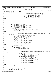**#else** <sup>355</sup> 355 **PRINTK\_3(TRACE\_SMAPI, #endif** "smapi::smapi\_set\_DSP\_cfg: Serial port B base I/O address index %x conflicts with uartio\_index %x\n", usSI >> 8, uartio\_index); **#ifdef** MWAVE\_FUTZ\_WITH\_OTHER\_DEVICES PRINTK\_1 (TRACE\_SMAPI,  $\sum_{\substack{n = 360 \text{ 360}}}$  "smapi::smapi\_set\_DSP\_cfg Disabling conflicting serial port\n"); <sup>361</sup> bRC = smapi\_request (0x1405, 0x0100, 0, usSI, &usAX, &usBX, &usCX, &usDX, &usDI, &usSI); <sup>363</sup> **if** (bRC) **goto** exit\_smapi\_request\_error; <sup>364</sup> bRC = smapi\_request (0x1404, 0x0000, 0, 0, &usAX, &usBX, &usCX, &usDX, &usDI, &usSI); **if** (bRC) **goto** exit\_smapi\_request\_error; **#else goto** exit\_conflict; **#endif** } } } 375 <br>375 /\* *Check IR port* \*/<br>376 bRC = smapi\_request bRC = smapi\_request(0x1700, 0x0000, 0, 0, 0, 377 &usAX, &usBX, &usCX, &usDX, &usDI, &usSI); **if** (bRC) **goto** exit\_smapi\_request\_error; <sup>379</sup> bRC = smapi\_request(0x1704, 0x0000, 0, 0, <sup>380</sup> &usAX, &usBX, &usCX, &usDX, &usDI, &usSI); 381 **if** (bRC) **goto** exit\_smapi\_request\_error;<br>  $\frac{1}{282}$  (\* bRC == 0 \*/  $bRC = 0$  \*/ 383<br>383 **if** ((usCX & 0xff) == mwave\_uart\_irq) { /\* serial port is enabled \*/<br>384 **#ifndef** MWAVE FUTZ WITH OTHER DEVICES **#ifndef** MWAVE\_FUTZ\_WITH\_OTHER\_DEVICES 385 PRINTK\_ERROR(KERN\_ERR\_MWAVE **#else** 387<br>388 **#endif** PRINTK\_3(TRACE\_SMAPI, **#endif** "smapi::smapi\_set\_DSP\_cfg: IR port irq %x conflicts with mwave\_uart\_irq %x\n", usSI, mwave\_uart\_irq); **#ifdef** MWAVE\_FUTZ\_WITH\_OTHER\_DEVICES <sup>391</sup> PRINTK\_1 (TRACE\_SMAPI)<br><sup>392</sup> smapi::smapi:smapi "smapi::smapi\_set\_DSP\_cfg Disabling conflicting IR port\n"); bRC = smapi\_request(0x1701, 0x0100, 0, 0, <sup>394</sup> &usAX, &usBX, &usCX, &usDX, &usDI, &usSI); **if** (bRC) **goto** exit\_smapi\_request\_error; <sup>396</sup> bRC = smapi\_request(0x1700, 0, 0, 0, &usAX, &usBX, &usCX, &usDX, &usDI, &usSI); <sup>398</sup> **if** (bRC) **goto** exit\_smapi\_request\_error; <sup>399</sup> bRC = smapi\_request(0x1705, 0x01ff, 0, usSI, 400  $&6 \text{usAX}, &6 \text{usBX}, &6 \text{usCX}, &6 \text{usDX}, &6 \text{usDX}, &6 \text{usDX}, &6 \text{usDX}, &7 \text{usBX}, &8 \text{usDX}, &8 \text{usDX}, &9 \text{usBX}, &9 \text{usBX}, &9 \text{usBX}, &1 \text{usBX}, &1 \text{usBX}, &1 \text{usBX}, &1 \text{usBX}, &1 \text{usBX}, &1 \text{usBX}, &1 \text{usBX}, &1 \text{usBX}, &1 \text{$  **if** (bRC) **goto** exit\_smapi\_request\_error; bRC = smapi\_request(0x1704, 0x0000, 0, 0, <sup>403</sup> &usAX, &usBX, &usCX, &usDX, &usDI, &usSI); **if** (bRC) **goto** exit\_smapi\_request\_error; **#else goto** exit\_conflict; **#endif** } **else** {  $if$  ((usSI & 0xff) == uartio\_index) { **#ifndef** MWAVE\_FUTZ\_WITH\_OTHER\_DEVICES **PRINTK\_ERROR(KERN\_ERR\_MWAVE #else** PRINTK\_3(TRACE\_SMAPI, **#endif** "smapi::smapi\_set\_DSP\_cfg: IR port base I/O address index %x conflicts with uartio\_index %x\n", usSI & 0xff, uartio\_index); **#ifdef** MWAVE\_FUTZ\_WITH\_OTHER\_DEVICES 417 PRINTK\_1 (TRACE\_SMAPI <sup>418</sup> "smapi::smapi\_set\_DSP\_cfg Disabling conflicting IR port\n");<br> $\frac{1}{419}$  bRC = smapi request (0x1701, 0x0100, 0, 0, bRC = smapi\_request(0x1701, 0x0100, 0, 0, <sup>420</sup> &usAX, &usBX, &usCX, &usDX, &usDI, &usSI); <sup>421</sup> **if** (bRC) **goto** exit\_smapi\_request\_error; bRC = smapi\_request(0x1700, 0, 0, 0, <sup>423</sup> &usAX, &usBX, &usCX, &usDX, &usDI, &usSI); <sup>424</sup> **if** (bRC) **goto** exit\_smapi\_request\_error; bRC = smapi\_request(0x1705, 0x01ff, 0, usSI, <sup>426</sup> &usAX, &usBX, &usCX, &usDX, &usDI, &usSI); <sup>427</sup> **if** (bRC) **goto** exit\_smapi\_request\_error; bRC = smapi\_request(0x1704, 0x0000, 0, 0, <sup>429</sup> &usAX, &usBX, &usCX, &usDX, &usDI, &usSI); **if** (bRC) **goto** exit\_smapi\_request\_error; **#else goto** exit\_conflict; **#endif** } } } bRC = smapi\_request(0x1802, 0x0000, 0, 0, &usAX, &usBX, &usCX, &usDX, &usDI, &usSI); if (bRC) goto exit\_smapi\_request\_error; Registered Version: Linux Kernel Support for Mwave Modem **smapi.c** Exhibit 20.1−3 pg 5/7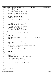```
442 if (mwave_3780i_io) {
443 usDI = dspio_index;;
444 }
                  if (mwave_3780i_irq)
446 ussI = (ussI \& 0xff00) | mwave_3780i_irq;<br>447
447 }
448
449 bRC = smapi_request(0x1803, 0x0101, usDI, usSI,
450 &usAX, &usBX, &usCX, &usDX, &usDI, &usSI);
451 if (bRC) goto exit_smapi_request_error;
452
453 bRC = smapi_request(0x1804, 0x0000, 0, 0,
454 &usAX, &usBX, &usCX, &usDX, &usDI, &usSI);
455 if (bRC) goto exit_smapi_request_error;
456457 if (mwave_uart_io) {
458 usSI = (usSI & 0x00ff) | (uartio_index << 8);
\frac{459}{460}460 if (mwave_uart_irq) {
461 usSI = (usSI & 0xff00) | mwave_uart_irq;
462
463 bRC = smapi_request(0x1805, 0x0101, 0, usSI,
464 &usAX, &usBX, &usCX, &usDX, &usDI, &usSI);
465 if (bRC) goto exit_smapi_request_error;
466
467 bRC = smapi_request(0x1802, 0x0000, 0, 0,
468 &usAX, &usBX, &usCX, &usDX, &usDI, &usSI);
469 if (bRC) goto exit_smapi_request_error;
470
471 bRC = smapi_request(0x1804, 0x0000, 0, 0,
472 &usAX, &usBX, &usCX, &usDX, &usDI, &usSI);
473 if (bRC) goto exit_smapi_request_error;
474
475 /* normal exit: */<br>476 PRINTK 1(T
476 PRINTK_1(TRACE_SMAPI, "smapi::smapi_set_DSP_cfg exit\n");<br>return 0;
                 477 return 0;
478
479 ext_{480} \overline{\phantom{0}} \overline{\phantom{0}} \overline{\phantom{0}} \overline{\phantom{0}} \overline{\phantom{0}} \overline{\phantom{0}} \overline{\phantom{0}} \overline{\phantom{0}} \overline{\phantom{0}} \overline{\phantom{0}} \overline{\phantom{0}} \overline{\phantom{0}} \overline{\phantom{0}} \overline{\phantom{0}} \overline{\phantom{0}} \overline{\phantom{0}} \overline{\phantom{0}} \overline480 * /* Message has already been printed */<br>481 return - ETO:
                 481 return −EIO;
482
483 exit_smapi_request_error:
484 PRINTK_ERROR(KERN_ERR_MWAVE "smapi::smapi_set_DSP_cfg exit on smapi_request error bRC %x\n", bRC);<br>
return bRC:
485 return bRC;
    }
487
488
489 int smapi_set_DSP_power_state(BOOLEAN bOn)<br>490 {
490 \{ 491491 int bRC = −EIO;
492 unsigned short usAX, usBX, usCX, usDX, usDI, usSI;
493 unsigned short usPowerFunction;
494
495 PRINTK_2(TRACE_SMAPI, "smapi::smapi_set_DSP_power_state entry bOn %x\n", bOn);
496
497 usPowerFunction = (bOn) ? 1 : 0;
498
499 bRC = smapi_request(0x4901, 0x0000, 0, usPowerFunction,
500 &usAX, &usBX, &usCX, &usDX, &usDI, &usSI);
501
502 PRINTK_2(TRACE_SMAPI, "smapi::smapi_set_DSP_power_state exit bRC %x\n", bRC);
503
504 return bRC;
    505 }
506
507
508 int SmapiQuerySystemID(void)<br>509 \t{}509 {
510 int bRC = -EIO;<br>511 unsinned short511 unsigned short usAX = 0xffff, usBX = 0xffff, usCX = 0xffff,
512 usDX = 0xffff, usDI = 0xffff, usSI = 0xffff;
513
514 printk("smapi::SmapiQUerySystemID entry\n");<br>515 bRC = smapi request(0x0000, 0, 0, 0,
                 \overline{b}RC = \overline{s}mapi\_request(0x0000, 0, 0, 0)516 &usAX, &usBX, &usCX, &usDX, &usDI, &usSI);
517
518 if (bRC == 0) {
\text{printk}(\text{"AX=%0.518} \text{X} = %x, \text{BX} = %x, \text{DX} = %x, \text{DI} = %x, \text{SI} = %x \text{N "AX} = %x \text{N "AX} = %x \text{N "AX} = %x \text{N "AX} = %x \text{N "AX} = %x \text{N "AX} = %x \text{N "AX} = %x \text{N "AX} = %x \text{N "AX} = %x \text{N "AX} = %x \text{N "AX} = %x \text{N "AX} = %x \text{N "AX} = %x \text{N "AX} = %x \text{N "AX} = %x \text{N "AX} = %usAX, usBX, usCX, usDX, usDI, usSI);
521 } else {
                  printk("smapi::SmapiQuerySystemID smapi_request error\n");
523 }
524
525 return bRC;
526 }
527
528
529 int smapi_init(void)<br>530 {
530 {
531 int retval = −EIO;
Registered Version: Linux Kernel Support for Mwave Modem smapi.c Exhibit 20.1−3 pg 6/7
```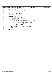```
532 unsigned short usSmapiID = 0;
533 unsigned long flags;
534
535 PRINTK_1(TRACE_SMAPI, "smapi::smapi_init entry\n");
536
537 spin_lock_irqsave(&rtc_lock, flags);
538 usSmapiID = CMOS_READ(0x7C);
539 usSmapiID |= (CMOS_READ(0x7D) << 8);
540 spin_unlock_irqrestore(&rtc_lock, flags);
541 PRINTK_2(TRACE_SMAPI, "smapi::smapi_init usSmapiID %x\n", usSmapiID);
542
543 if (usSmapiID == 0x5349) {
544 spin_lock_irqsave(&rtc_lock, flags);
545 <br>
546 g_usSmapiPort |= (CMOS_READ(0x7F) << 8);<br>
547 spin_unlock_irqrestore(&rtc_lock, flags);<br>
548 if (g_usSmapiPort == 0) {
559<br>
EXELORE FRINTK_ERROR ("smapi::smapi_init, ERROR unable to read from SMAPI port\n");<br>
alse {
550 } else {
551 PRINTK_2(TRACE_SMAPI,<br>
"smapi::smapi_init, exit TRUE g_usSmapiPort %x\n",<br>
= 1953<br>
\text{retval} = 0;<br>
\frac{1}{3}555 <br>556 //SmapiQuerySystemID();<br>{<br>}
556 }
557 } else {
558 PRINTK_ERROR("smapi::smapi_init, ERROR invalid usSmapiID\n");<br>559 reval = -ENXIO;559 retval = −ENXIO;<br>}
560 }
561
562 return retval;
563 }
Registered Version: Linux Kernel Support for Mwave Modem smapi.c Exhibit 20.1−3 pg 7/7
```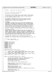```
\sqrt{*}\overline{2}3 * tp3780i.c −− board driver for 3780i on ThinkPads
<sup>4</sup>
\begin{matrix}5\\6\end{matrix} *
       Written By: Mike Sullivan IBM Corporation
7 *
8 * Copyright (C) 1999 IBM Corporation
9 *
10 * This program is free software; you can redistribute it and/or modify
11 * it under the terms of the GNU General Public License as published by
12 * the Free Software Foundation; either version 2 of the License, or<br>13 * (at your option) any later version.
    13 * (at your option) any later version.
14<br>1515 * This program is distributed in the hope that it will be useful,
16 * but WITHOUT ANY WARRANTY; without even the implied warranty of
17 * MERCHANTABILITY or FITNESS FOR A PARTICULAR PURPOSE. See the
18 * GNU General Public License for more details.
<sub>19</sub>
20 * NO WARRANTY<br>21 * THE PROGRAM
       21 * THE PROGRAM IS PROVIDED ON AN "AS IS" BASIS, WITHOUT WARRANTIES OR
<sup>22</sup> * CONDITIONS OF ANY KIND, EITHER EXPRESS OR IMPLIED INCLUDING, WITHOUT<br><sup>23</sup> * LIMITATION, ANY WARRANTIES OR CONDITIONS OF TITLE, NON-INFRINGEMENT,
23 * LIMITATION, ANY WARRANTIES OR CONDITIONS OF TITLE, NON−INFRINGEMENT,
<sup>24</sup> * MERCHANTABILITY OR FITNESS FOR A PARTICULAR PURPOSE. Each Recipient is<br><sup>25 *</sup> solely responsible for determining the appropriateness of using and
    * solely responsible for determining the appropriateness of using and
26 * distributing the Program and assumes all risks associated with its
27 * exercise of rights under this Agreement, including but not limited to
28 * the risks and costs of program errors, damage to or loss of data,
29 * programs or equipment, and unavailability or interruption of operations.
3031 * DISCLAIMER OF LIABILITY<br>32 * NEITHER RECIPIENT NOR A
    32 * NEITHER RECIPIENT NOR ANY CONTRIBUTORS SHALL HAVE ANY LIABILITY FOR ANY
33 * DIRECT, INDIRECT, INCIDENTAL, SPECIAL, EXEMPLARY, OR CONSEQUENTIAL
34 * DAMAGES (INCLUDING WITHOUT LIMITATION LOST PROFITS), HOWEVER CAUSED AND
35 * ON ANY THEORY OF LIABILITY, WHETHER IN CONTRACT, STRICT LIABILITY, OR
36 * TORT (INCLUDING NEGLIGENCE OR OTHERWISE) ARISING IN ANY WAY OUT OF THE
37 * USE OR DISTRIBUTION OF THE PROGRAM OR THE EXERCISE OF ANY RIGHTS GRANTED
    38 * HEREUNDER, EVEN IF ADVISED OF THE POSSIBILITY OF SUCH DAMAGES
\frac{39}{40}* You should have received a copy of the GNU General Public License
41 * along with this program; if not, write to the Free Software
42 * Foundation, Inc., 59 Temple Place, Suite 330, Boston, MA 02111−1307 USA
43 *
44<br>45
    45 * 10/23/2000 − Alpha Release
\frac{46}{47} * First release to the public
    * /
48<br>4949 #include <linux/version.h>
50 #include <linux/kernel.h>
51 #include <linux/ptrace.h>
52 #include <linux/ioport.h>
    #include <asm/io.h>
54 #include "smapi.h"
    55 #include "mwavedd.h"
56 #include "tp3780i.h"
    57 #include "3780i.h"
58 #include "mwavepub.h"
59
60 extern MWAVE_DEVICE_DATA mwave_s_mdd;
61
62 static unsigned short s_ausThinkpadIrqToField[16] =
63 { 0xFFFF, 0xFFFF, 0xFFFF, 0x0001, 0x0002, 0x0003, 0xFFFF, 0x0004,
64 0xFFFF, 0xFFFF, 0x0005, 0x0006, 0xFFFF, 0xFFFF, 0xFFFF, 0x0007 };
65 static unsigned short s_ausThinkpadDmaToField[8] =
66 { 0x0001, 0x0002, 0xFFFF, 0xFFFF, 0xFFFF, 0xFFFF, 0x0003, 0x0004 };
67 static unsigned short s_numIrqs = 16, s_numDmas = 8;
68
69
70 static void EnableSRAM(THINKPAD_BD_DATA * pBDData)
\frac{71}{72} {
72 DSP_3780I_CONFIG_SETTINGS *pSettings = &pBDData->rDspSettings;<br>73 metalstaned short usDspBaseIO = pSettings->usDspBaseIO;
73 unsigned short usDspBaseIO = pSettings−>usDspBaseIO;
                DSP_GPIO_OUTPUT_DATA_15_8 rGpioOutputData;
75 DSP_GPIO_DRIVER_ENABLE_15_8 rGpioDriverEnable;
76 DSP_GPIO_MODE_15_8 rGpioMode;
77
78 PRINTK_1(TRACE_TP3780I, "tp3780i::EnableSRAM, entry\n");
79
...<br>80 MKWORD(rGpioMode) = ReadMsaCfg(DSP_GpioModeControl_15_8);<br>81 March RobioMode.GpioMode10 = 0;
81 rGpioMode.GpioMode10 = 0;<br>82 MriteMsaCfg(DSP_GpioModeC
                WriteMsaCfg(DSP_GpioModeControl_15_8, MKWORD(rGpioMode));
83
84 MKWORD(rGpioDriverEnable) = 0;<br>85 mGpioDriverEnable Enable10 = T
                85 rGpioDriverEnable.Enable10 = TRUE;
86 rGpioDriverEnable.Mask10 = TRUE;<br>87 MriteMsaCfq(DSP GpioDriverEnable
                87 WriteMsaCfg(DSP_GpioDriverEnable_15_8, MKWORD(rGpioDriverEnable));
88
89 MKWORD(rGpioOutputData) = 0;
Registered Version: Linux Kernel Support for Mwave Modem tp3780i.c Exhibit 20.1−4 pg 1/7
```
rGpioOutputData.Latch10 = 0;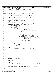```
91 rGpioOutputData.Mask10 = TRUE;
             92 WriteMsaCfg(DSP_GpioOutputData_15_8, MKWORD(rGpioOutputData));
93
94 PRINTK_1(TRACE_TP3780I, "tp3780i::EnableSRAM exit\n");
95 }
96
97
98 static void UartInterrupt(int irq, void *dev_id, struct pt_regs *regs)
\begin{matrix} 99 \\ 100 \end{matrix}100 PRINTK_3(TRACE_TP3780I,
pRINTK_3(TRACE_TP3780i)
    "tp3780i::UartInterrupt entry irq %x dev_id %x\n", irq, (int) dev_id);
102
103
104 static void DspInterrupt(int irq, void *dev_id, struct pt_regs *regs)
105 {
106 pMWAVE_DEVICE_DATA pDrvData = &mwave_s_mdd;
107 DSP_3780I_CONFIG_SETTINGS *pSettings = &pDrvData−>rBDData.rDspSettings;
108 unsigned short usDspBaseIO = pSettings−>usDspBaseIO;
109 unsigned short usIPCSource = 0, usIsolationMask, usPCNum;
110
111 PRINTK_3(TRACE_TP3780I,
<sup>112</sup> "tp3780i::DspInterrupt entry irq %x dev_id %x\n", irq, (int) dev_id);
113
114 if (dsp3780I_GetIPCSource(usDspBaseIO, &usIPCSource) == 0) {
                       PRINTK_2(TRACE_TP3780I,
116 "tp3780i::DspInterrupt, return from dsp3780i_GetIPCSource, usIPCSource %x\n",
117 usIPCSource);
118 usIsolationMask = 1;119 for (usPCNum = 1; usPCNum <= 16; usPCNum++) {
120 if (usIPCSource & usIsolationMask) {
121 usIPCSource &= ~usIsolationMask;<br>122 122 usIPCSource PRINTK 3 (TRACE TP3780I,
                                          122 PRINTK_3(TRACE_TP3780I,
<sup>th</sup>tp3780i::DspInterrupt usPCNum %x usIPCSource %x\n",<br>124 129
124 usPCNum, usIPCSource);
125 if (pDrvData−>IPCs[usPCNum − 1].usIntCount == 0) {
                                                   126 pDrvData−>IPCs[usPCNum − 1].usIntCount = 1;
\left\{\n \begin{array}{ccc}\n 127 & & \\
 127 & & \\
 127 & & \\
 127 & & \\
 127 & & \\
 127 & & \\
 127 & & \\
 127 & & \\
 127 & & \\
 127 & & \\
 127 & & \\
 127 & & \\
 127 & & \\
 127 & & \\
 127 & & \\
 127 & & \\
 127 & & \\
 127 & & \\
 127 & &amp128 PRINTK_2(TRACE_TP3780I,<br>129 129 129 PRINTK_2(TRACE_TP3780i;
\frac{129}{\text{pt}} \frac{129}{\text{pt}} \frac{129}{\text{pt}} \frac{129}{\text{pt}} \frac{129}{\text{pt}} \frac{129}{\text{pt}} \frac{129}{\text{pt}} \frac{129}{\text{pt}} \frac{129}{\text{pt}} \frac{129}{\text{pt}} \frac{129}{\text{pt}} \frac{129}{\text{pt}} \frac{129}{\text{pt}} \frac{129}{\text{pt}} \frac{129}{\text{pDrvData->IPCs[usPCNum - 1].usIntCount);
131 if (pDrvData−>IPCs[usPCNum − 1].bIsEnabled == TRUE) {
132 PRINTK_2(TRACE_TP3780I,
133 "tp3780i::DspInterrupt, waking up usPCNum %x\n",
134 usPCNum − 1);
135 wake_up_interruptible(&pDrvData−>IPCs[usPCNum − 1].ipc_wait_queue);
136 } else {
137 PRINTK_2(TRACE_TP3780I,
138
<sup>138</sup> "tp3780i::DspInterrupt, no one waiting for IPC \%x\n",<br><sup>139</sup><br><sup>139</sup>
139 usPCNum − 1);
\left\{\n\begin{array}{ccc}\n140 & & \n\end{array}\n\right\}\left\{\n \begin{array}{ccc}\n 141 & & \\
 142 & & \\
 143 & & \\
 144 & & \\
 145 & & \\
 146 & & \\
 147 & & \\
 148 & & \\
 149 & & \\
 149 & & \\
 140 & & \\
 140 & & \\
 140 & & \\
 140 & & \\
 141 & & \\
 142 & & \\
 143 & & \\
 145 & & \\
 146 & &amp142 if (usIPCSource == 0)<br>143 break:
                                         break;
144 /* try next IPC */
145 usIsolationMask = usIsolationMask << 1;
146 }
147 } else {
148 PRINTK_1(TRACE_TP3780I,
149
                                 "tp3780i::DspInterrupt, return false from dsp3780i_GetIPCSource\n");
150 }
151 PRINTK 1(TRACE TP3780I, "tp3780i::DspInterrupt exit\n");
152 }
153
154
155 int tp3780I_InitializeBoardData(THINKPAD_BD_DATA * pBDData)
156 {
157 int retval = 0;<br>158 DSP 3780I CONFI
             158 DSP_3780I_CONFIG_SETTINGS *pSettings = &pBDData−>rDspSettings;
159
160
161 PRINTK_2(TRACE_TP3780I, "tp3780i::tp3780I_InitializeBoardData entry pBDData %p\n", pBDData);
162
163 pBDData−>bDSPEnabled = FALSE;
             pSettings->bInterruptClaimed = FALSE;
165
166 retval = smapi init();
167 if (retval)<br>168 PRII
168 PRINTK_ERROR(KERN_ERR_MWAVE "tp3780i::tp3780I_InitializeBoardData: Error: SMAPI is not available on this machine\n");
             169 } else {
170 if (mwave_3780i_irq || mwave_3780i_io || mwave_uart_irq || mwave_uart_io) {
171 retval = smapi_set_DSP_cfg();
172 }
173 }
174
175 PRINTK_2(TRACE_TP3780I, "tp3780i::tp3780I_InitializeBoardData exit retval %x\n", retval);
176
177 return retval;<br>178 }
178 }
179
180 int tp3780I_Cleanup(THINKPAD_BD_DATA * pBDData)
Registered Version: Linux Kernel Support for Mwave Modem tp3780i.c Exhibit 20.1−4 pg 2/7
```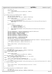```
181 {
int \; r \cdot \text{rt} \cdot \text{rt} \cdot \text{rt} \cdot \text{rt} \cdot \text{rt} \cdot \text{rt} \cdot \text{rt} \cdot \text{rt} \cdot \text{rt} \cdot \text{rt} \cdot \text{rt} \cdot \text{rt} \cdot \text{rt} \cdot \text{rt} \cdot \text{rt} \cdot \text{rt} \cdot \text{rt} \cdot \text{rt} \cdot \text{rt} \cdot \text{rt} \cdot \text{rt} \cdot \text{rt} \cdot \text{rt} \cdot \text{rt} \cdot \text{rt} \cdot \text{rt} \cdot \text{rt} \cdot \text{rt} \cdot \text{rt} \cdot \text{rt} \cdot \text{rt183
184 PRINTK_2(TRACE_TP3780I,
185 "tp3780i::tp3780I_Cleanup entry and exit pBDData %p\n", pBDData);
186
187 return retval;
188 }
189
190 int tp3780I_CalcResources(THINKPAD_BD_DATA * pBDData)
191 {
192 SMAPI_DSP_SETTINGS rSmapiInfo;<br>193 DSP_3780I_CONFIG_SETTINGS *pSe
               193 DSP_3780I_CONFIG_SETTINGS *pSettings = &pBDData−>rDspSettings;
194
195 PRINTK_2(TRACE_TP3780I,
196 "tp3780i::tp3780I_CalcResources entry pBDData %p\n", pBDData);
197
198 if (smapi_query_DSP_cfg(&rSmapiInfo)) {
199 PRINTK_ERROR(KERN_ERR_MWAVE "tp3780i::tp3780I_CalcResources: Error: Could not query DSP config. Aborting.\n");<br>200 return - EIO;
200 return −EIO;<br>201 }
               \}202
203 /* Sanity check */<br>204 if (
204 if (
                            205 ( rSmapiInfo.usDspIRQ == 0 )
206 || ( rSmapiInfo.usDspBaseIO == 0 )<br>207 || ( rSmapiInfo.usUartIRQ == 0 )
208 \left| \int_{0}^{\infty} r \sin(\pi t) \arctan(\pi t) d\pi \right| (r \sin(\pi t) \arctan(\pi t) and r \sin(\pi t) \arctan(\pi t) and r \sin(\pi t) \arctan(\pi t) and r \sin(\pi t) \arctan(\pi t) and r \sin(\pi t) \arctan(\pi t) and r \sin(\pi t) \arctan(\pi t) and r \sin(\pi t) \arctan(\pi t) and r \sin(\pi t) \arctan(\pi t) and 209 ) {
                          PRINTK_ERROR(KERN_ERR_MWAVE "tp3780i::tp3780I_CalcResources: Error: Illegal resource setting. Aborting.\n");
211 return −EIO;<br>212 }
212 }
213<br>214214 pSettings->bDSPEnabled = (rSmapiInfo.bDSPEnabled && rSmapiInfo.bDSPPresent);<br>215 pSettings->bModemEnabled = rSmapiInfo.bModemEnabled;
215 pSettings−>bModemEnabled = rSmapiInfo.bModemEnabled;
216 pSettings−>usDspIrq = rSmapiInfo.usDspIRQ;
217 pSettings−>usDspDma = rSmapiInfo.usDspDMA;
218 pSettings−>usDspBaseIO = rSmapiInfo.usDspBaseIO;
219 pSettings−>usUartIrq = rSmapiInfo.usUartIRQ;
               220 pSettings−>usUartBaseIO = rSmapiInfo.usUartBaseIO;
221
222 pSettings−>uDStoreSize = TP_ABILITIES_DATA_SIZE;
223 pSettings−>uIStoreSize = TP_ABILITIES_INST_SIZE;<br>224 pSettings−>uIps = TP ABILITIES INTS PER SEC;
               224 pSettings−>uIps = TP_ABILITIES_INTS_PER_SEC;
225
226 if (pSettings−>bDSPEnabled && pSettings−>bModemEnabled && pSettings−>usDspIrq == pSettings−>usUartIrq) {
227 pBDData−>bShareDspIrq = pBDData−>bShareUartIrq = 1;<br>228 else {
228 } else {
229 pBDData->bShareDspIrq = pBDData->bShareUartIrq = 0;<br>230 }
230 }
231
232 PRINTK_1(TRACE_TP3780I, "tp3780i::tp3780I_CalcResources exit\n");
233
234 return 0;
    \rightarrow236
237
238 int tp3780I_ClaimResources(THINKPAD_BD_DATA * pBDData)
239 {
               int retval = 0;
241 DSP_3780I_CONFIG_SETTINGS *pSettings = &pBDData−>rDspSettings;
242 #if LINUX_VERSION_CODE >= KERNEL_VERSION(2,4,0)<br>243 struct resource *pres;
<sup>243</sup> struct resource *pres;<br><sup>244</sup> #endif
    244 #endif
245
<sup>246</sup> PRINTK 2(TRACE TP3780I,
<sup>247</sup> <sup>tp3780i::tp3780I_ClaimResources entry pBDData %p\n", pBDData);</sup>
248
249 #if LINUX_VERSION_CODE >= KERNEL_VERSION(2,4,0)
               pres = request_region(pSettings−>usDspBaseIO, 16, "mwave_3780i");
251 if ( pres == NULL ) retval = -EIO;<br>252 #else
252 #else
253 retval = check_region(pSettings−>usDspBaseIO, 16);<br>254 if (!retval) request_region(pSettings->usDspBaseIC
               254 if (!retval) request_region(pSettings−>usDspBaseIO, 16, "mwave_3780i");
255 #endif
256 if (retval) {
257 PRINTK_ERROR(KERN_ERR_MWAVE "tp3780i::tp3780I_ClaimResources: Error: Could not claim I/O region starting at %x\n", pSettin
    gs−>usDspBaseIO);
258 retval = −EIO;<br>259 }
259 }
260
261 PRINTK_2(TRACE_TP3780I, "tp3780i::tp3780I_ClaimResources exit retval %x\n", retval);
262
263 return retval;
264265
<sup>200</sup> int tp3780I ReleaseResources(THINKPAD BD DATA * pBDData)
267 \{<br>268
               int retval = 0;
269 DSP_3780I_CONFIG_SETTINGS *pSettings = &pBDData−>rDspSettings;
Registered Version: Linux Kernel Support for Mwave Modem tp3780i.c Exhibit 20.1−4 pg 3/7
```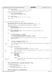```
270
<sup>271</sup> PRINTK 2(TRACE TP3780I)
<sup>272</sup> "tp3780i::tp3780I_ReleaseResources entry pBDData %p\n", pBDData);
273
274 release_region(pSettings−>usDspBaseIO & (~3), 16);
275
276 if (pSettings->bInterruptClaimed) {277 free irq(pSettings->usDspIn
277 free_irq(pSettings−>usDspIrq, 0);<br>278 pSettings−>bInterruptClaimed = FA
          pSettings->bInterruptClaimed = FALSE;<br>}
279 }
280
281 PRINTK_2(TRACE_TP3780I,
                  282 "tp3780i::tp3780I_ReleaseResources exit retval %x\n", retval);
283
284 return retval;
285 }
286
287
288
289 int tp3780I_EnableDSP(THINKPAD_BD_DATA * pBDData)
290 {
291 DSP_3780I_CONFIG_SETTINGS *pSettings = &pBDData−>rDspSettings;
292 BOOLEAN bDSPPoweredUp = FALSE, bDSPEnabled = FALSE, bInterruptAllocated = FALSE;
293
294 PRINTK_2(TRACE_TP3780I, "tp3780i::tp3780I_EnableDSP entry pBDData %p\n", pBDData);
295
296 if (pBDData−>bDSPEnabled) {
<sup>227</sup> PRINTK_ERROR(KERN_ERR_MWAVE "tp3780i::tp3780I_EnableDSP: Error: DSP already enabled!\n");
298 goto exit_cleanup;<br>299 }
299 }
300
301 if (!pSettings−>bDSPEnabled) {
302 PRINTK_ERROR(KERN_ERR_MWAVE "tp3780::tp3780I_EnableDSP: Error: pSettings->bDSPEnabled not set\n");<br>303 9050 PXit_Cleanup;
          goto exit_cleanup;
304 }
305
306 if (
307 (pSettings−>usDspIrq >= s_numIrqs)
308 || (pSettings−>usDspDma >= s_numDmas)
309 || (s_ausThinkpadIrqToField[pSettings−>usDspIrq] == 0xFFFF)
310 || (s_ausThinkpadDmaToField[pSettings−>usDspDma] == 0xFFFF)
311 ) {
312 PRINTK_ERROR(KERN_ERR_MWAVE "tp3780i::tp3780I_EnableDSP: Error: invalid irq %x\n", pSettings->usDspIrq);<br>313 9000 exit cleanup;
          3133 goto exit_cleanup;
314 }
315
316 if (
317 ((pSettings−>usDspBaseIO & 0xF00F) != 0)
318 || (pSettings−>usDspBaseIO & 0x0FF0) == 0
          ) {
320 PRINTK_ERROR(KERN_ERR_MWAVE "tp3780i::tp3780I_EnableDSP: Error: Invalid DSP base I/O address %x\n", pSettings−>usDsp
   BaseIO);
321 goto exit_cleanup;
322 }
323
324 if (pSettings−>bModemEnabled) {
                  325 if (
326 pSettings−>usUartIrq >= s_numIrqs
327 || s_ausThinkpadIrqToField[pSettings−>usUartIrq] == 0xFFFF
                  ) {
329 PRINTK_ERROR(KERN_ERR_MWAVE "tp3780i::tp3780I_EnableDSP: Error: Invalid UART IRQ %x\n", pSettings−>usUa
   rtIrq);
330 goto exit_cleanup;
331 }
332 switch (pSettings−>usUartBaseIO) {
333 case 0x03F8:
334 case 0x02F8:
335 case 0x03E8:
336 case 0x02E8:
                                 337 break;
338
339 default:
340 PRINTK_ERROR("tp3780i::tp3780I_EnableDSP: Error: Invalid UART base I/O address %x\n", pSettings−>us
   UartBaseIO);
341 goto exit_cleanup;
342 }
343 }
344
345 pSettings−>bDspIrqActiveLow = pSettings−>bDspIrqPulse = TRUE;
346 pSettings−>bUartIrqActiveLow = pSettings−>bUartIrqPulse = TRUE;
347
348 if (pBDData−>bShareDspIrq) {
                  pSettings->bDspIrqActiveLow = FALSE;
350<br>351351 if (pBDData−>bShareUartIrq) {
352 pSettings−>bUartIrqActiveLow = FALSE;
353 }
354
355 pSettings−>usNumTransfers = TP_CFG_NumTransfers;
356 pSettings−>usReRequest = TP_CFG_RerequestTimer;
Registered Version: Linux Kernel Support for Mwave Modem tp3780i.c Exhibit 20.1−4 pg 4/7
```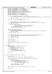```
357 pSettings−>bEnableMEMCS16 = TP_CFG_MEMCS16;
358 pSettings−>usIsaMemCmdWidth = TP_CFG_IsaMemCmdWidth;
359 pSettings−>bGateIOCHRDY = TP_CFG_GateIOCHRDY;
            pSettings->bEnablePwrMgmt = TP_CFG_EnablePwrMgmt;
361 pSettings−>usHBusTimerLoadValue = TP_CFG_HBusTimerValue;
362 pSettings−>bDisableLBusTimeout = TP_CFG_DisableLBusTimeout;
363 pSettings−>usN_Divisor = TP_CFG_N_Divisor;
364 pSettings−>usM_Multiplier = TP_CFG_M_Multiplier;
365 pSettings−>bPllBypass = TP_CFG_PllBypass;
            366 pSettings−>usChipletEnable = TP_CFG_ChipletEnable;
367
368 if (request_irq(pSettings−>usUartIrq, &UartInterrupt, 0, "mwave_uart", 0)) {
369 PRINTK_ERROR(KERN_ERR_MWAVE "tp3780i::tp3780I_EnableDSP: Error: Could not get UART IRQ %x\n", pSettings−>usUartI
   rq);
370 goto exit_cleanup;
371 } else { /* no conflict just release */
372 free_irq(pSettings−>usUartIrq, 0);<br>373 }
373 }
374
375 if (request_irq(pSettings−>usDspIrq, &DspInterrupt, 0, "mwave_3780i", 0)) {
376 PRINTK_ERROR("tp3780i::tp3780I_EnableDSP: Error: Could not get 3780i IRQ %x\n", pSettings−>usDspIrq);
377 goto exit_cleanup;
378 } else {
379 PRINTK_3(TRACE_TP3780I, 380
                               380 "tp3780i::tp3780I_EnableDSP, got interrupt %x bShareDspIrq %x\n",
381 pSettings−>usDspIrq, pBDData−>bShareDspIrq);
382 bInterruptAllocated = TRUE;
383 pSettings−>bInterruptClaimed = TRUE;
384 }
385
386 smapi_set_DSP_power_state(FALSE);
387 if (smapi_set_DSP_power_state(TRUE)) {
388 PRINTK_ERROR(KERN_ERR_MWAVE "tp3780i::tp3780I_EnableDSP: Error: smapi_set_DSP_power_state(TRUE) failed\n");<br>90to exit_cleanup;
389 goto exit_cleanup;
390 } else {
            \big\} bDSPPoweredUp = TRUE;
392 }
393
394 if (dsp3780I_EnableDSP(pSettings, s_ausThinkpadIrqToField, s_ausThinkpadDmaToField)) {
395 PRINTK_ERROR("tp3780i::tp3780I_EnableDSP: Error: dsp7880I_EnableDSP() failed\n");
396 goto exit_cleanup;
            397 } else {
398 399 \} \} \} \}399 }
400
401 EnableSRAM(pBDData);
402
403 pBDData−>bDSPEnabled = TRUE;
404
405 PRINTK_1(TRACE_TP3780I, "tp3780i::tp3780I_EnableDSP exit\n");
406
407 return 0;
408
409 exit_cleanup:<br>PRINT
            PRINTK_ERROR("tp3780i::tp3780I_EnableDSP: Cleaning up\n");
<sup>411</sup> if (bDSPEnabled)<br><sup>412</sup> dsp37801
                     dsp3780I_DisableDSP(pSettings);
413 if (bDSPPoweredUp)<br>414 smapi set
414 smapi_set_DSP_power_state(FALSE);<br>415 if (bInterruptAllocated) {
            if (bInterruptAllocated)
416 free_irq(pSettings−>usDspIrq, 0);
417 pSettings−>bInterruptClaimed = FALSE;
418<br>419419 return −EIO;
420 }
421
422
423 int tp3780I_DisableDSP(THINKPAD_BD_DATA * pBDData)
424 \quad \{
425int retval = 0;
426 DSP_3780I_CONFIG_SETTINGS *pSettings = &pBDData−>rDspSettings;
427
428 PRINTK_2(TRACE_TP3780I, "tp3780i::tp3780I_DisableDSP entry pBDData %p\n", pBDData);
429
430 if (pBDData−>bDSPEnabled) {
431 dsp3780I_DisableDSP(&pBDData−>rDspSettings);
432 if (pSettings−>bInterruptClaimed) {
433 free_irq(pSettings−>usDspIrq, 0);<br>nSettings−>bInterruptClaimed = FA
                               434 pSettings−>bInterruptClaimed = FALSE;
435 }
436 smapi_set_DSP_power_state(FALSE);
437 pBDData−>bDSPEnabled = FALSE;
438 }
439
\frac{440}{440} PRINTK 2(TRACE TP3780I, "tp3780i::tp3780I_DisableDSP exit retval %x\n", retval);
441
442 return retval;
443 }
444
445
Registered Version: Linux Kernel Support for Mwave Modem tp3780i.c Exhibit 20.1−4 pg 5/7
```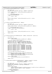```
446 int tp3780I ResetDSP(THINKPAD BD DATA * pBDData)
447 {
448 <br>
449 int retval = 0;<br>
DSP_3780I_CONFI
              DSP_3780I_CONFIG_SETTINGS *pSettings = &pBDData->rDspSettings;
450
<sup>451</sup> PRINTK 2(TRACE TP3780I, "tp3780i::tp3780I ResetDSP entry pBDData %p\ln",
452 pBDData);
453
454 if (dsp3780I_Reset(pSettings) == 0) {<br>455 EnableSRAM(pBDData);
455 EnableSRAM(pBDData);<br>456 and \overline{)} else {
              456 } else {
457 retval = -EIO;<br>458458 }
459
460 PRINTK_2(TRACE_TP3780I, "tp3780i::tp3780I_ResetDSP exit retval %x\n", retval);
461
462 return retval;<br>463 }
463 }
464
465
466 int tp3780I_StartDSP(THINKPAD_BD_DATA * pBDData)
\begin{matrix} 467 \\ 468 \end{matrix}468 int retval = 0;<br>469 DSP_3780I_CONFI
              DSP_3780I_CONFIG_SETTINGS *pSettings = &pBDData->rDspSettings;
470
471 PRINTK_2(TRACE_TP3780I, "tp3780i::tp3780I_StartDSP entry pBDData %p\n", pBDData);
472
473 if (dsp3780I_Run(pSettings) == 0) {
474 // \overline{\theta} // \overline{\theta} EnableSRAM(pBDData);
              475 } else {
476<br>477 }<br>477477 }
478<br>479
              479 PRINTK_2(TRACE_TP3780I, "tp3780i::tp3780I_StartDSP exit retval %x\n", retval);
480
481 return retval;
482 }
483
484
485 int tp3780I_QueryAbilities(THINKPAD_BD_DATA * pBDData, MW_ABILITIES * pAbilities)
\begin{matrix}486\\487\end{matrix}int retval = 0;
488
489 PRINTK_2(TRACE_TP3780I,
                        "tp3780i::tp3780I_QueryAbilities entry pBDData %p\n", pBDData);
491
492 /* fill out standard constant fields */
493 pAbilities−>instr_per_sec = pBDData−>rDspSettings.uIps;
494 pAbilities−>data_size = pBDData−>rDspSettings.uDStoreSize;
495 pAbilities−>inst_size = pBDData−>rDspSettings.uIStoreSize;
496 pAbilities−>bus_dma_bw = pBDData−>rDspSettings.uDmaBandwidth;
497<br>498
498 /* fill out dynamically determined fields *<br>pAbilities->component_list[0] = 0x00010000
499 pAbilities−>component_list[0] = 0x00010000 | MW_ADC_MASK;
500 pAbilities−>component_list[1] = 0x00010000 | MW_ACI_MASK;
500 pAbilities->component_list[1] = 0x00010000 | MW_ACI_MASK;<br>501 pAbilities->component_list[2] = 0x00010000 | MW_AIC1_MASK;<br>502 pAbilities->component_list[3] = 0x00010000 | MW_AIC2_MASK;
              pAbilities->component_list[3] = 0x00010000 | MW_AIC2_MASK;<br>pAbilities->component_list[4] = 0x00010000 | MW_CDDAC_MASK;
503 pAbilities−>component_list[4] = 0x00010000 | MW_CDDAC_MASK;
504 pAbilities−>component_list[5] = 0x00010000 | MW_MIDI_MASK;
505 pAbilities−>component_list[6] = 0x00010000 | MW_UART_MASK;
506 pAbilities−>component_count = 7;
507
508 /* Fill out Mwave OS and BIOS task names */
509510 memcpy(pAbilities−>mwave_os_name, TP_ABILITIES_MWAVEOS_NAME,
511 sizeof(TP_ABILITIES_MWAVEOS_NAME));
512 memcpy(pAbilities->bios_task_name, TP_ABILITIES_BIOSTASK_NAME,<br>513 sizeof(TP_ABILITIES_BIOSTASK_NAME));
                        513 sizeof(TP_ABILITIES_BIOSTASK_NAME));
514
515 PRINTK_1(TRACE_TP3780I,
516 "tp3780i::tp3780I_QueryAbilities exit retval=SUCCESSFUL\n");
517
518 return retval;
519 }
520
521 int tp3780I_ReadWriteDspDStore(THINKPAD_BD_DATA * pBDData, unsigned int uOpcode,
522 void *pvBuffer, unsigned int uCount,
523<br>
\frac{1}{2} unsigned long ulDSPAddr)
    \{525 int retval = 0;<br>526 DSP 3780I CONFI
              526 DSP_3780I_CONFIG_SETTINGS *pSettings = &pBDData−>rDspSettings;
527 unsigned short usDspBaseIO = pSettings−>usDspBaseIO;
              BOOLEAN bRC = 0;
529
530 PRINTK_6(TRACE_TP3780I,
<sup>531</sup> "tp3780i::tp3780I_ReadWriteDspDStore entry pBDData %p, uOpcode %x, pvBuffer %p, uCount %x, ulDSPAddr %lx\n",<br>532 DBDData, uOpcode, pvBuffer, uCount, ulDSPAddr);
                        pBDData, uOpcode, pvBuffer, uCount, ulDSPAddr);
533
534 if (pBDData−>bDSPEnabled) {
535 switch (uOpcode) {
Registered Version: Linux Kernel Support for Mwave Modem tp3780i.c Exhibit 20.1−4 pg 6/7
```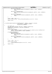```
536 case IOCTL_MW_READ_DATA:
537 bRC = dsp3780I_ReadDStore(usDspBaseIO, pvBuffer, uCount, ulDSPAddr);
538 break;
539
540 case IOCTL_MW_READCLEAR_DATA:
                            541 bRC = dsp3780I_ReadAndClearDStore(usDspBaseIO, pvBuffer, uCount, ulDSPAddr);
542 break;
543
544 case IOCTL_MW_WRITE_DATA:
545 bRC = dsp3780I_WriteDStore(usDspBaseIO, pvBuffer, uCount, ulDSPAddr);<br>
break;
                    546 break;
547 }
548 }
549
550 retval = (bRC) ? −EIO : 0;
551 PRINTK_2(TRACE_TP3780I, "tp3780i::tp3780I_ReadWriteDspDStore exit retval %x\n", retval);
552
553 return retval;
554 }
555
556
557 int tp3780I_ReadWriteDspIStore(THINKPAD_BD_DATA * pBDData, unsigned int uOpcode,
558 void *pvBuffer, unsigned int uCount,
559 unsigned long ulDSPAddr)
  \{561 int retval = 0;
562 DSP_3780I_CONFIG_SETTINGS *pSettings = &pBDData−>rDspSettings;
563 unsigned short usDspBaseIO = pSettings−>usDspBaseIO;
564 BOOLEAN bRC = 0;
565
566 PRINTK_6(TRACE_TP3780I,<br>567 s67 p3780i::tp3780I_Re
567 "tp3780i::tp3780i_ReadWriteDspIStore entry pBDData %p, uOpcode %x, pvBuffer %p, uCount %x, ulDSPAddr %lx\n",<br>568 pBDData, uOpcode, pvBuffer, uCount, ulDSPAddr);
                    pBDData, uOpcode, pvBuffer, uCount, ulDSPAddr);
569
570 if (pBDData−>bDSPEnabled) {
                    571 switch (uOpcode) {
572 case IOCTL_MW_READ_INST:
573 bRC = dsp3780I_ReadIStore(usDspBaseIO, pvBuffer, uCount, ulDSPAddr);
574 break;
575
576 case IOCTL_MW_WRITE_INST:
577 bRC = dsp3780I_WriteIStore(usDspBaseIO, pvBuffer, uCount, ulDSPAddr);
578 break;
579 }
580 }
581
           retval = (bRC) ? -EIO : 0;583<br>584
584 PRINTK_2(TRACE_TP3780I,
                    "tp3780i::tp3780I_ReadWriteDspIStore exit retval %x\n", retval);
586
587 return retval;<br>588 }
  }
589
Registered Version: Linux Kernel Support for Mwave Modem tp3780i.c Exhibit 20.1−4 pg 7/7
```